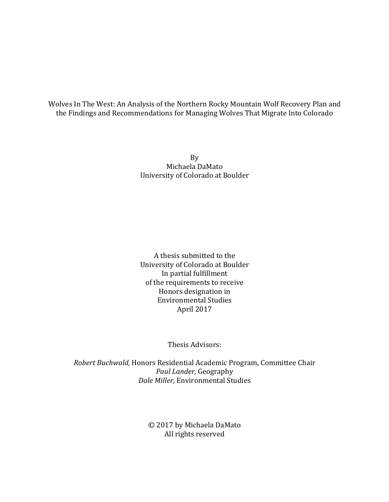Wolves In The West: An Analysis of the Northern Rocky Mountain Wolf Recovery Plan and the Findings and Recommendations for Managing Wolves That Migrate Into Colorado

> By Michaela DaMato University of Colorado at Boulder

> A thesis submitted to the University of Colorado at Boulder In partial fulfillment of the requirements to receive Honors designation in Environmental Studies April 2017

> > Thesis Advisors:

*Robert Buchwald,* Honors Residential Academic Program, Committee Chair *Paul Lander,* Geography *Dale Miller, Environmental Studies* 

> © 2017 by Michaela DaMato All rights reserved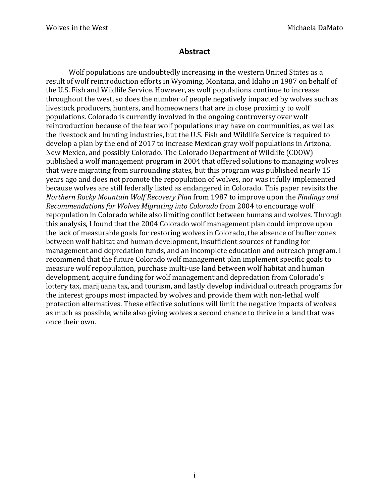# **Abstract**

Wolf populations are undoubtedly increasing in the western United States as a result of wolf reintroduction efforts in Wyoming, Montana, and Idaho in 1987 on behalf of the U.S. Fish and Wildlife Service. However, as wolf populations continue to increase throughout the west, so does the number of people negatively impacted by wolves such as livestock producers, hunters, and homeowners that are in close proximity to wolf populations. Colorado is currently involved in the ongoing controversy over wolf reintroduction because of the fear wolf populations may have on communities, as well as the livestock and hunting industries, but the U.S. Fish and Wildlife Service is required to develop a plan by the end of 2017 to increase Mexican gray wolf populations in Arizona, New Mexico, and possibly Colorado. The Colorado Department of Wildlife (CDOW) published a wolf management program in 2004 that offered solutions to managing wolves that were migrating from surrounding states, but this program was published nearly 15 years ago and does not promote the repopulation of wolves, nor was it fully implemented because wolves are still federally listed as endangered in Colorado. This paper revisits the *Northern Rocky Mountain Wolf Recovery Plan* from 1987 to improve upon the *Findings and Recommendations for Wolves Migrating into Colorado* from 2004 to encourage wolf repopulation in Colorado while also limiting conflict between humans and wolves. Through this analysis. I found that the 2004 Colorado wolf management plan could improve upon the lack of measurable goals for restoring wolves in Colorado, the absence of buffer zones between wolf habitat and human development, insufficient sources of funding for management and depredation funds, and an incomplete education and outreach program. I recommend that the future Colorado wolf management plan implement specific goals to measure wolf repopulation, purchase multi-use land between wolf habitat and human development, acquire funding for wolf management and depredation from Colorado's lottery tax, marijuana tax, and tourism, and lastly develop individual outreach programs for the interest groups most impacted by wolves and provide them with non-lethal wolf protection alternatives. These effective solutions will limit the negative impacts of wolves as much as possible, while also giving wolves a second chance to thrive in a land that was once their own.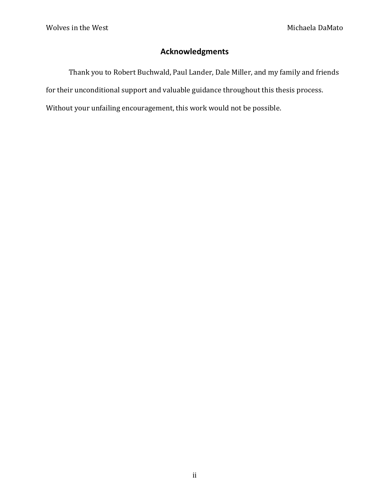# **Acknowledgments**

Thank you to Robert Buchwald, Paul Lander, Dale Miller, and my family and friends for their unconditional support and valuable guidance throughout this thesis process. Without your unfailing encouragement, this work would not be possible.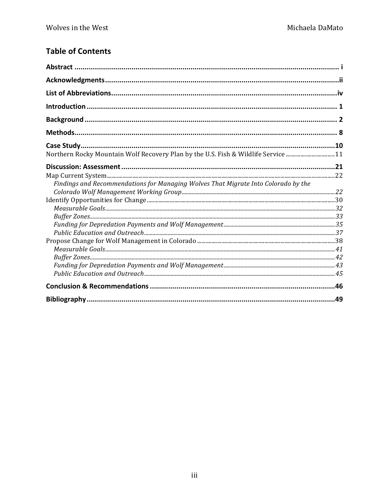# **Table of Contents**

| Northern Rocky Mountain Wolf Recovery Plan by the U.S. Fish & Wildlife Service 11  |  |
|------------------------------------------------------------------------------------|--|
|                                                                                    |  |
| Findings and Recommendations for Managing Wolves That Migrate Into Colorado by the |  |
|                                                                                    |  |
|                                                                                    |  |
|                                                                                    |  |
|                                                                                    |  |
|                                                                                    |  |
|                                                                                    |  |
|                                                                                    |  |
|                                                                                    |  |
|                                                                                    |  |
|                                                                                    |  |
|                                                                                    |  |
|                                                                                    |  |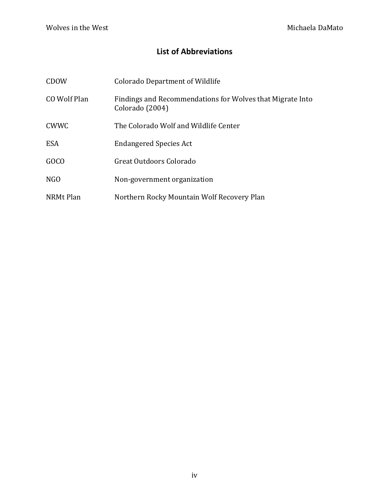# **List of Abbreviations**

| CDOW             | <b>Colorado Department of Wildlife</b>                                       |
|------------------|------------------------------------------------------------------------------|
| CO Wolf Plan     | Findings and Recommendations for Wolves that Migrate Into<br>Colorado (2004) |
| <b>CWWC</b>      | The Colorado Wolf and Wildlife Center                                        |
| <b>ESA</b>       | <b>Endangered Species Act</b>                                                |
| GOCO             | Great Outdoors Colorado                                                      |
| N <sub>G</sub> O | Non-government organization                                                  |
| NRMt Plan        | Northern Rocky Mountain Wolf Recovery Plan                                   |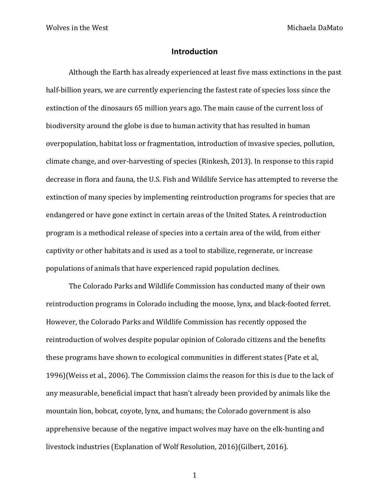# **Introduction**

Although the Earth has already experienced at least five mass extinctions in the past half-billion years, we are currently experiencing the fastest rate of species loss since the extinction of the dinosaurs 65 million years ago. The main cause of the current loss of biodiversity around the globe is due to human activity that has resulted in human overpopulation, habitat loss or fragmentation, introduction of invasive species, pollution, climate change, and over-harvesting of species (Rinkesh, 2013). In response to this rapid decrease in flora and fauna, the U.S. Fish and Wildlife Service has attempted to reverse the extinction of many species by implementing reintroduction programs for species that are endangered or have gone extinct in certain areas of the United States. A reintroduction program is a methodical release of species into a certain area of the wild, from either captivity or other habitats and is used as a tool to stabilize, regenerate, or increase populations of animals that have experienced rapid population declines.

The Colorado Parks and Wildlife Commission has conducted many of their own reintroduction programs in Colorado including the moose, lynx, and black-footed ferret. However, the Colorado Parks and Wildlife Commission has recently opposed the reintroduction of wolves despite popular opinion of Colorado citizens and the benefits these programs have shown to ecological communities in different states (Pate et al, 1996)(Weiss et al., 2006). The Commission claims the reason for this is due to the lack of any measurable, beneficial impact that hasn't already been provided by animals like the mountain lion, bobcat, coyote, lynx, and humans; the Colorado government is also apprehensive because of the negative impact wolves may have on the elk-hunting and livestock industries (Explanation of Wolf Resolution, 2016)(Gilbert, 2016).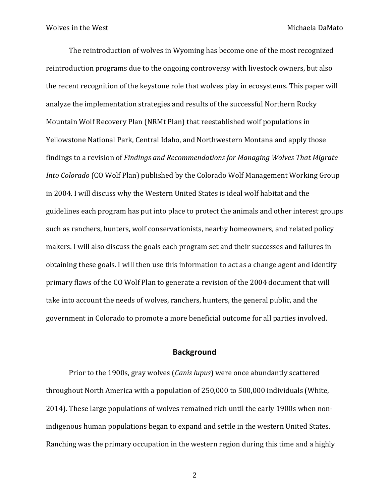The reintroduction of wolves in Wyoming has become one of the most recognized reintroduction programs due to the ongoing controversy with livestock owners, but also the recent recognition of the keystone role that wolves play in ecosystems. This paper will analyze the implementation strategies and results of the successful Northern Rocky Mountain Wolf Recovery Plan (NRMt Plan) that reestablished wolf populations in Yellowstone National Park, Central Idaho, and Northwestern Montana and apply those findings to a revision of *Findings and Recommendations for Managing Wolves That Migrate Into Colorado* (CO Wolf Plan) published by the Colorado Wolf Management Working Group in 2004. I will discuss why the Western United States is ideal wolf habitat and the guidelines each program has put into place to protect the animals and other interest groups such as ranchers, hunters, wolf conservationists, nearby homeowners, and related policy makers. I will also discuss the goals each program set and their successes and failures in obtaining these goals. I will then use this information to act as a change agent and identify primary flaws of the CO Wolf Plan to generate a revision of the 2004 document that will take into account the needs of wolves, ranchers, hunters, the general public, and the government in Colorado to promote a more beneficial outcome for all parties involved.

# **Background**

Prior to the 1900s, gray wolves (*Canis lupus*) were once abundantly scattered throughout North America with a population of 250,000 to 500,000 individuals (White, 2014). These large populations of wolves remained rich until the early 1900s when nonindigenous human populations began to expand and settle in the western United States. Ranching was the primary occupation in the western region during this time and a highly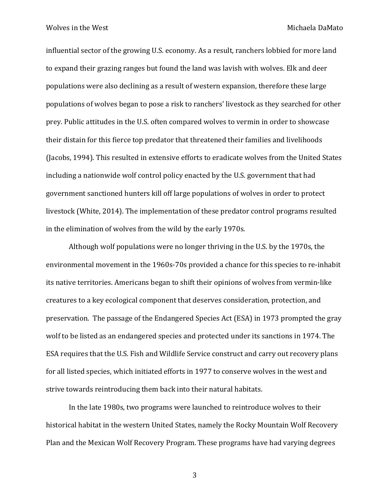influential sector of the growing U.S. economy. As a result, ranchers lobbied for more land to expand their grazing ranges but found the land was lavish with wolves. Elk and deer populations were also declining as a result of western expansion, therefore these large populations of wolves began to pose a risk to ranchers' livestock as they searched for other prey. Public attitudes in the U.S. often compared wolves to vermin in order to showcase their distain for this fierce top predator that threatened their families and livelihoods (Jacobs, 1994). This resulted in extensive efforts to eradicate wolves from the United States including a nationwide wolf control policy enacted by the U.S. government that had government sanctioned hunters kill off large populations of wolves in order to protect livestock (White, 2014). The implementation of these predator control programs resulted in the elimination of wolves from the wild by the early 1970s.

Although wolf populations were no longer thriving in the U.S. by the 1970s, the environmental movement in the 1960s-70s provided a chance for this species to re-inhabit its native territories. Americans began to shift their opinions of wolves from vermin-like creatures to a key ecological component that deserves consideration, protection, and preservation. The passage of the Endangered Species Act (ESA) in 1973 prompted the gray wolf to be listed as an endangered species and protected under its sanctions in 1974. The ESA requires that the U.S. Fish and Wildlife Service construct and carry out recovery plans for all listed species, which initiated efforts in 1977 to conserve wolves in the west and strive towards reintroducing them back into their natural habitats.

In the late 1980s, two programs were launched to reintroduce wolves to their historical habitat in the western United States, namely the Rocky Mountain Wolf Recovery Plan and the Mexican Wolf Recovery Program. These programs have had varying degrees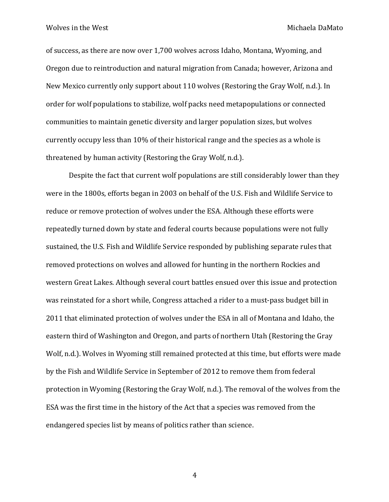of success, as there are now over 1,700 wolves across Idaho, Montana, Wyoming, and Oregon due to reintroduction and natural migration from Canada; however, Arizona and New Mexico currently only support about 110 wolves (Restoring the Gray Wolf, n.d.). In order for wolf populations to stabilize, wolf packs need metapopulations or connected communities to maintain genetic diversity and larger population sizes, but wolves currently occupy less than 10% of their historical range and the species as a whole is threatened by human activity (Restoring the Gray Wolf, n.d.).

Despite the fact that current wolf populations are still considerably lower than they were in the 1800s, efforts began in 2003 on behalf of the U.S. Fish and Wildlife Service to reduce or remove protection of wolves under the ESA. Although these efforts were repeatedly turned down by state and federal courts because populations were not fully sustained, the U.S. Fish and Wildlife Service responded by publishing separate rules that removed protections on wolves and allowed for hunting in the northern Rockies and western Great Lakes. Although several court battles ensued over this issue and protection was reinstated for a short while, Congress attached a rider to a must-pass budget bill in 2011 that eliminated protection of wolves under the ESA in all of Montana and Idaho, the eastern third of Washington and Oregon, and parts of northern Utah (Restoring the Gray Wolf, n.d.). Wolves in Wyoming still remained protected at this time, but efforts were made by the Fish and Wildlife Service in September of 2012 to remove them from federal protection in Wyoming (Restoring the Gray Wolf, n.d.). The removal of the wolves from the ESA was the first time in the history of the Act that a species was removed from the endangered species list by means of politics rather than science.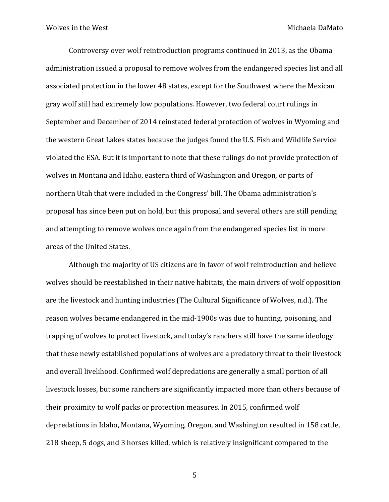Controversy over wolf reintroduction programs continued in 2013, as the Obama administration issued a proposal to remove wolves from the endangered species list and all associated protection in the lower 48 states, except for the Southwest where the Mexican gray wolf still had extremely low populations. However, two federal court rulings in September and December of 2014 reinstated federal protection of wolves in Wyoming and the western Great Lakes states because the judges found the U.S. Fish and Wildlife Service violated the ESA. But it is important to note that these rulings do not provide protection of wolves in Montana and Idaho, eastern third of Washington and Oregon, or parts of northern Utah that were included in the Congress' bill. The Obama administration's proposal has since been put on hold, but this proposal and several others are still pending and attempting to remove wolves once again from the endangered species list in more areas of the United States.

Although the majority of US citizens are in favor of wolf reintroduction and believe wolves should be reestablished in their native habitats, the main drivers of wolf opposition are the livestock and hunting industries (The Cultural Significance of Wolves, n.d.). The reason wolves became endangered in the mid-1900s was due to hunting, poisoning, and trapping of wolves to protect livestock, and today's ranchers still have the same ideology that these newly established populations of wolves are a predatory threat to their livestock and overall livelihood. Confirmed wolf depredations are generally a small portion of all livestock losses, but some ranchers are significantly impacted more than others because of their proximity to wolf packs or protection measures. In 2015, confirmed wolf depredations in Idaho, Montana, Wyoming, Oregon, and Washington resulted in 158 cattle, 218 sheep, 5 dogs, and 3 horses killed, which is relatively insignificant compared to the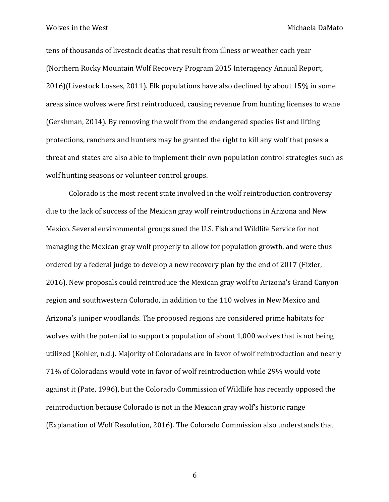tens of thousands of livestock deaths that result from illness or weather each year (Northern Rocky Mountain Wolf Recovery Program 2015 Interagency Annual Report, 2016)(Livestock Losses, 2011). Elk populations have also declined by about 15% in some areas since wolves were first reintroduced, causing revenue from hunting licenses to wane (Gershman, 2014). By removing the wolf from the endangered species list and lifting protections, ranchers and hunters may be granted the right to kill any wolf that poses a threat and states are also able to implement their own population control strategies such as wolf hunting seasons or volunteer control groups.

Colorado is the most recent state involved in the wolf reintroduction controversy due to the lack of success of the Mexican gray wolf reintroductions in Arizona and New Mexico. Several environmental groups sued the U.S. Fish and Wildlife Service for not managing the Mexican gray wolf properly to allow for population growth, and were thus ordered by a federal judge to develop a new recovery plan by the end of 2017 (Fixler, 2016). New proposals could reintroduce the Mexican gray wolf to Arizona's Grand Canyon region and southwestern Colorado, in addition to the 110 wolves in New Mexico and Arizona's juniper woodlands. The proposed regions are considered prime habitats for wolves with the potential to support a population of about 1,000 wolves that is not being utilized (Kohler, n.d.). Majority of Coloradans are in favor of wolf reintroduction and nearly 71% of Coloradans would vote in favor of wolf reintroduction while 29% would vote against it (Pate, 1996), but the Colorado Commission of Wildlife has recently opposed the reintroduction because Colorado is not in the Mexican gray wolf's historic range (Explanation of Wolf Resolution, 2016). The Colorado Commission also understands that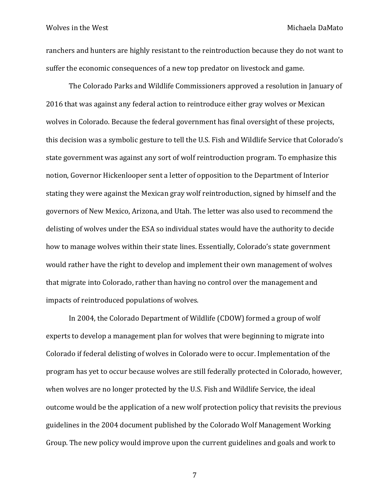ranchers and hunters are highly resistant to the reintroduction because they do not want to suffer the economic consequences of a new top predator on livestock and game.

The Colorado Parks and Wildlife Commissioners approved a resolution in January of 2016 that was against any federal action to reintroduce either gray wolves or Mexican wolves in Colorado. Because the federal government has final oversight of these projects, this decision was a symbolic gesture to tell the U.S. Fish and Wildlife Service that Colorado's state government was against any sort of wolf reintroduction program. To emphasize this notion, Governor Hickenlooper sent a letter of opposition to the Department of Interior stating they were against the Mexican gray wolf reintroduction, signed by himself and the governors of New Mexico, Arizona, and Utah. The letter was also used to recommend the delisting of wolves under the ESA so individual states would have the authority to decide how to manage wolves within their state lines. Essentially, Colorado's state government would rather have the right to develop and implement their own management of wolves that migrate into Colorado, rather than having no control over the management and impacts of reintroduced populations of wolves.

In 2004, the Colorado Department of Wildlife (CDOW) formed a group of wolf experts to develop a management plan for wolves that were beginning to migrate into Colorado if federal delisting of wolves in Colorado were to occur. Implementation of the program has yet to occur because wolves are still federally protected in Colorado, however, when wolves are no longer protected by the U.S. Fish and Wildlife Service, the ideal outcome would be the application of a new wolf protection policy that revisits the previous guidelines in the 2004 document published by the Colorado Wolf Management Working Group. The new policy would improve upon the current guidelines and goals and work to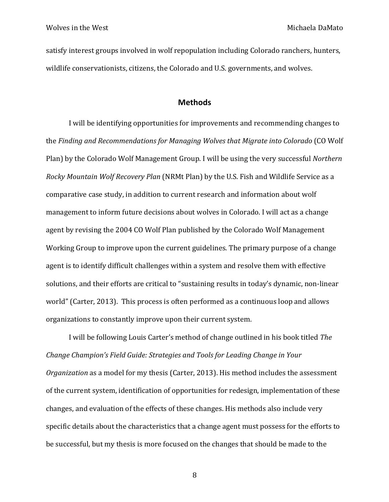satisfy interest groups involved in wolf repopulation including Colorado ranchers, hunters, wildlife conservationists, citizens, the Colorado and U.S. governments, and wolves.

# **Methods**

I will be identifying opportunities for improvements and recommending changes to the *Finding and Recommendations for Managing Wolves that Migrate into Colorado* (CO Wolf Plan) by the Colorado Wolf Management Group. I will be using the very successful *Northern Rocky Mountain Wolf Recovery Plan* (NRMt Plan) by the U.S. Fish and Wildlife Service as a comparative case study, in addition to current research and information about wolf management to inform future decisions about wolves in Colorado. I will act as a change agent by revising the 2004 CO Wolf Plan published by the Colorado Wolf Management Working Group to improve upon the current guidelines. The primary purpose of a change agent is to identify difficult challenges within a system and resolve them with effective solutions, and their efforts are critical to "sustaining results in today's dynamic, non-linear world" (Carter, 2013). This process is often performed as a continuous loop and allows organizations to constantly improve upon their current system.

I will be following Louis Carter's method of change outlined in his book titled *The Change Champion's Field Guide: Strategies and Tools for Leading Change in Your Organization* as a model for my thesis (Carter, 2013). His method includes the assessment of the current system, identification of opportunities for redesign, implementation of these changes, and evaluation of the effects of these changes. His methods also include very specific details about the characteristics that a change agent must possess for the efforts to be successful, but my thesis is more focused on the changes that should be made to the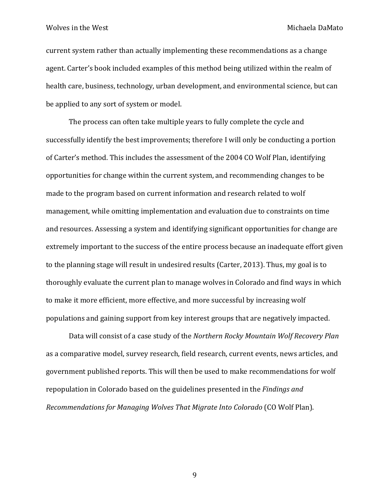current system rather than actually implementing these recommendations as a change agent. Carter's book included examples of this method being utilized within the realm of health care, business, technology, urban development, and environmental science, but can be applied to any sort of system or model.

The process can often take multiple years to fully complete the cycle and successfully identify the best improvements; therefore I will only be conducting a portion of Carter's method. This includes the assessment of the 2004 CO Wolf Plan, identifying opportunities for change within the current system, and recommending changes to be made to the program based on current information and research related to wolf management, while omitting implementation and evaluation due to constraints on time and resources. Assessing a system and identifying significant opportunities for change are extremely important to the success of the entire process because an inadequate effort given to the planning stage will result in undesired results (Carter, 2013). Thus, my goal is to thoroughly evaluate the current plan to manage wolves in Colorado and find ways in which to make it more efficient, more effective, and more successful by increasing wolf populations and gaining support from key interest groups that are negatively impacted.

Data will consist of a case study of the *Northern Rocky Mountain Wolf Recovery Plan* as a comparative model, survey research, field research, current events, news articles, and government published reports. This will then be used to make recommendations for wolf repopulation in Colorado based on the guidelines presented in the *Findings and Recommendations for Managing Wolves That Migrate Into Colorado* (CO Wolf Plan).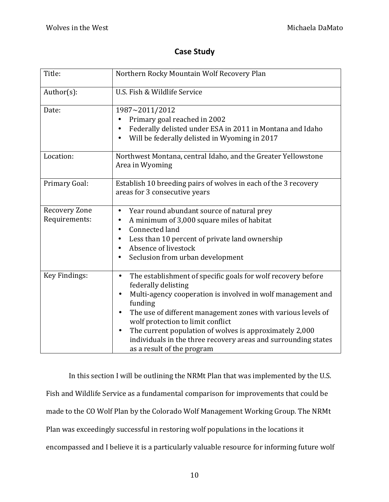# **Case Study**

| Title:                         | Northern Rocky Mountain Wolf Recovery Plan                                                                                                                                                                                                                                                                                                                                                                                                                           |
|--------------------------------|----------------------------------------------------------------------------------------------------------------------------------------------------------------------------------------------------------------------------------------------------------------------------------------------------------------------------------------------------------------------------------------------------------------------------------------------------------------------|
| $Author(s)$ :                  | U.S. Fish & Wildlife Service                                                                                                                                                                                                                                                                                                                                                                                                                                         |
| Date:                          | 1987~2011/2012<br>Primary goal reached in 2002<br>Federally delisted under ESA in 2011 in Montana and Idaho<br>$\bullet$<br>Will be federally delisted in Wyoming in 2017                                                                                                                                                                                                                                                                                            |
| Location:                      | Northwest Montana, central Idaho, and the Greater Yellowstone<br>Area in Wyoming                                                                                                                                                                                                                                                                                                                                                                                     |
| Primary Goal:                  | Establish 10 breeding pairs of wolves in each of the 3 recovery<br>areas for 3 consecutive years                                                                                                                                                                                                                                                                                                                                                                     |
| Recovery Zone<br>Requirements: | Year round abundant source of natural prey<br>$\bullet$<br>A minimum of 3,000 square miles of habitat<br>$\bullet$<br>Connected land<br>Less than 10 percent of private land ownership<br>Absence of livestock<br>Seclusion from urban development                                                                                                                                                                                                                   |
| Key Findings:                  | The establishment of specific goals for wolf recovery before<br>$\bullet$<br>federally delisting<br>Multi-agency cooperation is involved in wolf management and<br>funding<br>The use of different management zones with various levels of<br>$\bullet$<br>wolf protection to limit conflict<br>The current population of wolves is approximately 2,000<br>$\bullet$<br>individuals in the three recovery areas and surrounding states<br>as a result of the program |

In this section I will be outlining the NRMt Plan that was implemented by the U.S. Fish and Wildlife Service as a fundamental comparison for improvements that could be made to the CO Wolf Plan by the Colorado Wolf Management Working Group. The NRMt Plan was exceedingly successful in restoring wolf populations in the locations it encompassed and I believe it is a particularly valuable resource for informing future wolf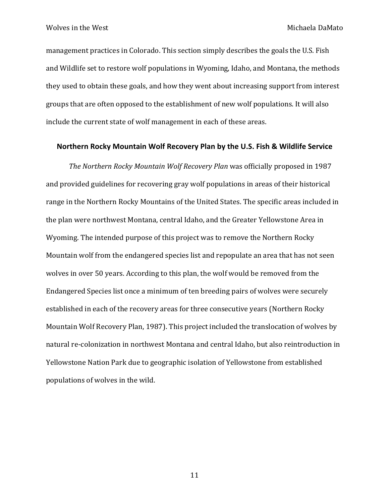management practices in Colorado. This section simply describes the goals the U.S. Fish and Wildlife set to restore wolf populations in Wyoming, Idaho, and Montana, the methods they used to obtain these goals, and how they went about increasing support from interest groups that are often opposed to the establishment of new wolf populations. It will also include the current state of wolf management in each of these areas.

# **Northern Rocky Mountain Wolf Recovery Plan by the U.S. Fish & Wildlife Service**

The Northern Rocky Mountain Wolf Recovery Plan was officially proposed in 1987 and provided guidelines for recovering gray wolf populations in areas of their historical range in the Northern Rocky Mountains of the United States. The specific areas included in the plan were northwest Montana, central Idaho, and the Greater Yellowstone Area in Wyoming. The intended purpose of this project was to remove the Northern Rocky Mountain wolf from the endangered species list and repopulate an area that has not seen wolves in over 50 years. According to this plan, the wolf would be removed from the Endangered Species list once a minimum of ten breeding pairs of wolves were securely established in each of the recovery areas for three consecutive years (Northern Rocky Mountain Wolf Recovery Plan, 1987). This project included the translocation of wolves by natural re-colonization in northwest Montana and central Idaho, but also reintroduction in Yellowstone Nation Park due to geographic isolation of Yellowstone from established populations of wolves in the wild.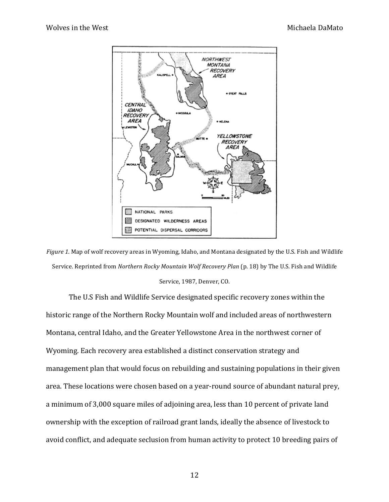

*Figure* 1. Map of wolf recovery areas in Wyoming, Idaho, and Montana designated by the U.S. Fish and Wildlife Service. Reprinted from *Northern Rocky Mountain Wolf Recovery Plan* (p. 18) by The U.S. Fish and Wildlife Service, 1987, Denver, CO.

The U.S Fish and Wildlife Service designated specific recovery zones within the historic range of the Northern Rocky Mountain wolf and included areas of northwestern Montana, central Idaho, and the Greater Yellowstone Area in the northwest corner of Wyoming. Each recovery area established a distinct conservation strategy and management plan that would focus on rebuilding and sustaining populations in their given area. These locations were chosen based on a year-round source of abundant natural prey, a minimum of 3,000 square miles of adjoining area, less than 10 percent of private land ownership with the exception of railroad grant lands, ideally the absence of livestock to avoid conflict, and adequate seclusion from human activity to protect 10 breeding pairs of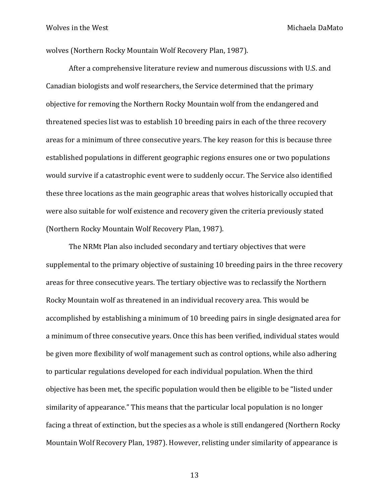wolves (Northern Rocky Mountain Wolf Recovery Plan, 1987).

After a comprehensive literature review and numerous discussions with U.S. and Canadian biologists and wolf researchers, the Service determined that the primary objective for removing the Northern Rocky Mountain wolf from the endangered and threatened species list was to establish 10 breeding pairs in each of the three recovery areas for a minimum of three consecutive years. The key reason for this is because three established populations in different geographic regions ensures one or two populations would survive if a catastrophic event were to suddenly occur. The Service also identified these three locations as the main geographic areas that wolves historically occupied that were also suitable for wolf existence and recovery given the criteria previously stated (Northern Rocky Mountain Wolf Recovery Plan, 1987).

The NRMt Plan also included secondary and tertiary objectives that were supplemental to the primary objective of sustaining 10 breeding pairs in the three recovery areas for three consecutive years. The tertiary objective was to reclassify the Northern Rocky Mountain wolf as threatened in an individual recovery area. This would be accomplished by establishing a minimum of 10 breeding pairs in single designated area for a minimum of three consecutive years. Once this has been verified, individual states would be given more flexibility of wolf management such as control options, while also adhering to particular regulations developed for each individual population. When the third objective has been met, the specific population would then be eligible to be "listed under similarity of appearance." This means that the particular local population is no longer facing a threat of extinction, but the species as a whole is still endangered (Northern Rocky Mountain Wolf Recovery Plan, 1987). However, relisting under similarity of appearance is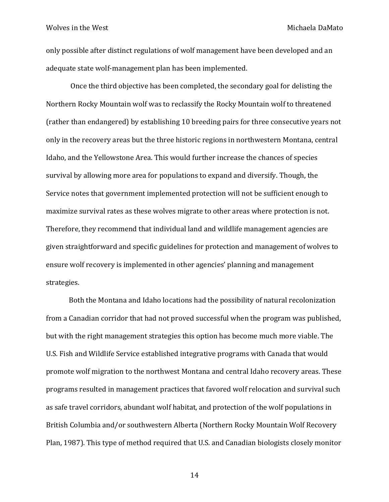only possible after distinct regulations of wolf management have been developed and an adequate state wolf-management plan has been implemented.

Once the third objective has been completed, the secondary goal for delisting the Northern Rocky Mountain wolf was to reclassify the Rocky Mountain wolf to threatened (rather than endangered) by establishing 10 breeding pairs for three consecutive years not only in the recovery areas but the three historic regions in northwestern Montana, central Idaho, and the Yellowstone Area. This would further increase the chances of species survival by allowing more area for populations to expand and diversify. Though, the Service notes that government implemented protection will not be sufficient enough to maximize survival rates as these wolves migrate to other areas where protection is not. Therefore, they recommend that individual land and wildlife management agencies are given straightforward and specific guidelines for protection and management of wolves to ensure wolf recovery is implemented in other agencies' planning and management strategies.

Both the Montana and Idaho locations had the possibility of natural recolonization from a Canadian corridor that had not proved successful when the program was published, but with the right management strategies this option has become much more viable. The U.S. Fish and Wildlife Service established integrative programs with Canada that would promote wolf migration to the northwest Montana and central Idaho recovery areas. These programs resulted in management practices that favored wolf relocation and survival such as safe travel corridors, abundant wolf habitat, and protection of the wolf populations in British Columbia and/or southwestern Alberta (Northern Rocky Mountain Wolf Recovery Plan, 1987). This type of method required that U.S. and Canadian biologists closely monitor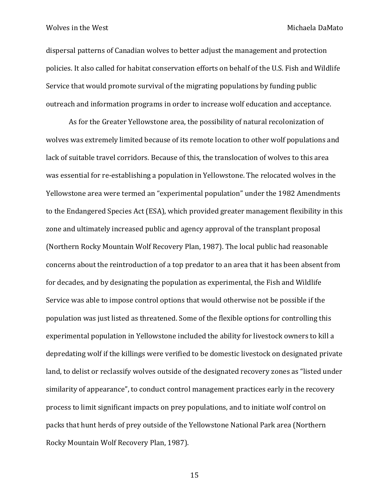dispersal patterns of Canadian wolves to better adjust the management and protection policies. It also called for habitat conservation efforts on behalf of the U.S. Fish and Wildlife Service that would promote survival of the migrating populations by funding public outreach and information programs in order to increase wolf education and acceptance.

As for the Greater Yellowstone area, the possibility of natural recolonization of wolves was extremely limited because of its remote location to other wolf populations and lack of suitable travel corridors. Because of this, the translocation of wolves to this area was essential for re-establishing a population in Yellowstone. The relocated wolves in the Yellowstone area were termed an "experimental population" under the 1982 Amendments to the Endangered Species Act (ESA), which provided greater management flexibility in this zone and ultimately increased public and agency approval of the transplant proposal (Northern Rocky Mountain Wolf Recovery Plan, 1987). The local public had reasonable concerns about the reintroduction of a top predator to an area that it has been absent from for decades, and by designating the population as experimental, the Fish and Wildlife Service was able to impose control options that would otherwise not be possible if the population was just listed as threatened. Some of the flexible options for controlling this experimental population in Yellowstone included the ability for livestock owners to kill a depredating wolf if the killings were verified to be domestic livestock on designated private land, to delist or reclassify wolves outside of the designated recovery zones as "listed under similarity of appearance", to conduct control management practices early in the recovery process to limit significant impacts on prey populations, and to initiate wolf control on packs that hunt herds of prey outside of the Yellowstone National Park area (Northern Rocky Mountain Wolf Recovery Plan, 1987).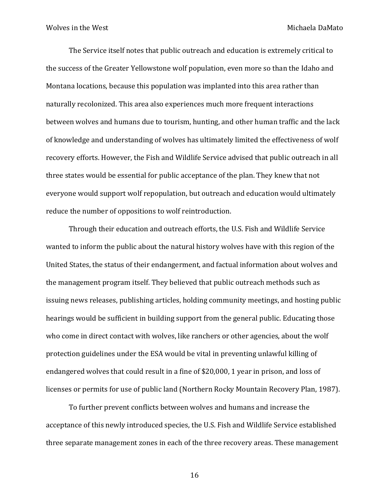The Service itself notes that public outreach and education is extremely critical to the success of the Greater Yellowstone wolf population, even more so than the Idaho and Montana locations, because this population was implanted into this area rather than naturally recolonized. This area also experiences much more frequent interactions between wolves and humans due to tourism, hunting, and other human traffic and the lack of knowledge and understanding of wolves has ultimately limited the effectiveness of wolf recovery efforts. However, the Fish and Wildlife Service advised that public outreach in all three states would be essential for public acceptance of the plan. They knew that not everyone would support wolf repopulation, but outreach and education would ultimately reduce the number of oppositions to wolf reintroduction.

Through their education and outreach efforts, the U.S. Fish and Wildlife Service wanted to inform the public about the natural history wolves have with this region of the United States, the status of their endangerment, and factual information about wolves and the management program itself. They believed that public outreach methods such as issuing news releases, publishing articles, holding community meetings, and hosting public hearings would be sufficient in building support from the general public. Educating those who come in direct contact with wolves, like ranchers or other agencies, about the wolf protection guidelines under the ESA would be vital in preventing unlawful killing of endangered wolves that could result in a fine of \$20,000, 1 year in prison, and loss of licenses or permits for use of public land (Northern Rocky Mountain Recovery Plan, 1987).

To further prevent conflicts between wolves and humans and increase the acceptance of this newly introduced species, the U.S. Fish and Wildlife Service established three separate management zones in each of the three recovery areas. These management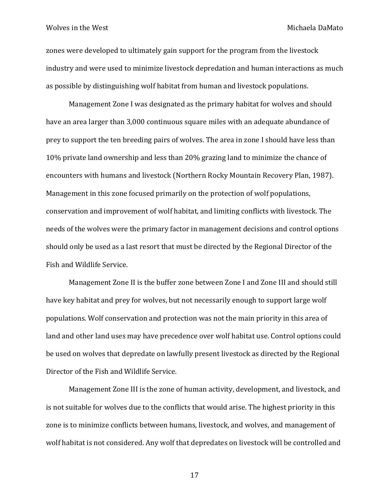zones were developed to ultimately gain support for the program from the livestock industry and were used to minimize livestock depredation and human interactions as much as possible by distinguishing wolf habitat from human and livestock populations.

Management Zone I was designated as the primary habitat for wolves and should have an area larger than 3,000 continuous square miles with an adequate abundance of prey to support the ten breeding pairs of wolves. The area in zone I should have less than 10% private land ownership and less than 20% grazing land to minimize the chance of encounters with humans and livestock (Northern Rocky Mountain Recovery Plan, 1987). Management in this zone focused primarily on the protection of wolf populations, conservation and improvement of wolf habitat, and limiting conflicts with livestock. The needs of the wolves were the primary factor in management decisions and control options should only be used as a last resort that must be directed by the Regional Director of the Fish and Wildlife Service.

Management Zone II is the buffer zone between Zone I and Zone III and should still have key habitat and prey for wolves, but not necessarily enough to support large wolf populations. Wolf conservation and protection was not the main priority in this area of land and other land uses may have precedence over wolf habitat use. Control options could be used on wolves that depredate on lawfully present livestock as directed by the Regional Director of the Fish and Wildlife Service.

Management Zone III is the zone of human activity, development, and livestock, and is not suitable for wolves due to the conflicts that would arise. The highest priority in this zone is to minimize conflicts between humans, livestock, and wolves, and management of wolf habitat is not considered. Any wolf that depredates on livestock will be controlled and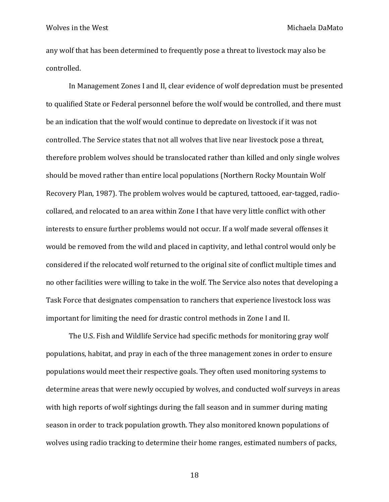any wolf that has been determined to frequently pose a threat to livestock may also be controlled.

In Management Zones I and II, clear evidence of wolf depredation must be presented to qualified State or Federal personnel before the wolf would be controlled, and there must be an indication that the wolf would continue to depredate on livestock if it was not controlled. The Service states that not all wolves that live near livestock pose a threat, therefore problem wolves should be translocated rather than killed and only single wolves should be moved rather than entire local populations (Northern Rocky Mountain Wolf Recovery Plan, 1987). The problem wolves would be captured, tattooed, ear-tagged, radiocollared, and relocated to an area within Zone I that have very little conflict with other interests to ensure further problems would not occur. If a wolf made several offenses it would be removed from the wild and placed in captivity, and lethal control would only be considered if the relocated wolf returned to the original site of conflict multiple times and no other facilities were willing to take in the wolf. The Service also notes that developing a Task Force that designates compensation to ranchers that experience livestock loss was important for limiting the need for drastic control methods in Zone I and II.

The U.S. Fish and Wildlife Service had specific methods for monitoring gray wolf populations, habitat, and pray in each of the three management zones in order to ensure populations would meet their respective goals. They often used monitoring systems to determine areas that were newly occupied by wolves, and conducted wolf surveys in areas with high reports of wolf sightings during the fall season and in summer during mating season in order to track population growth. They also monitored known populations of wolves using radio tracking to determine their home ranges, estimated numbers of packs,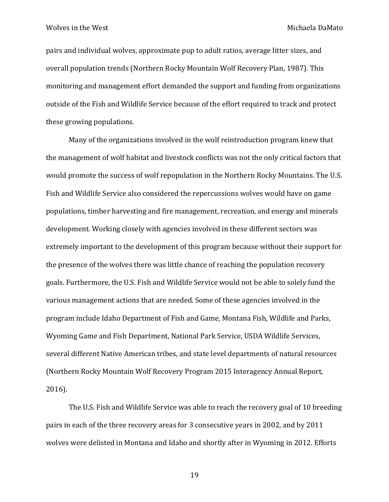pairs and individual wolves, approximate pup to adult ratios, average litter sizes, and overall population trends (Northern Rocky Mountain Wolf Recovery Plan, 1987). This monitoring and management effort demanded the support and funding from organizations outside of the Fish and Wildlife Service because of the effort required to track and protect these growing populations.

Many of the organizations involved in the wolf reintroduction program knew that the management of wolf habitat and livestock conflicts was not the only critical factors that would promote the success of wolf repopulation in the Northern Rocky Mountains. The U.S. Fish and Wildlife Service also considered the repercussions wolves would have on game populations, timber harvesting and fire management, recreation, and energy and minerals development. Working closely with agencies involved in these different sectors was extremely important to the development of this program because without their support for the presence of the wolves there was little chance of reaching the population recovery goals. Furthermore, the U.S. Fish and Wildlife Service would not be able to solely fund the various management actions that are needed. Some of these agencies involved in the program include Idaho Department of Fish and Game, Montana Fish, Wildlife and Parks, Wyoming Game and Fish Department, National Park Service, USDA Wildlife Services, several different Native American tribes, and state level departments of natural resources (Northern Rocky Mountain Wolf Recovery Program 2015 Interagency Annual Report, 2016).

The U.S. Fish and Wildlife Service was able to reach the recovery goal of 10 breeding pairs in each of the three recovery areas for 3 consecutive years in 2002, and by 2011 wolves were delisted in Montana and Idaho and shortly after in Wyoming in 2012. Efforts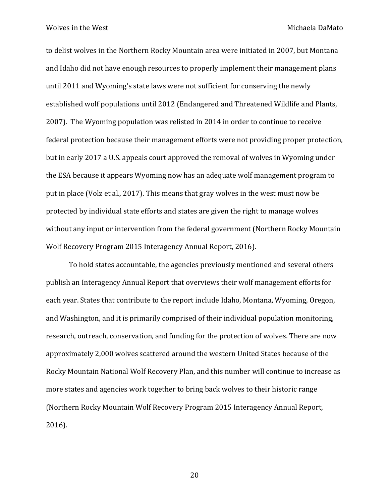to delist wolves in the Northern Rocky Mountain area were initiated in 2007, but Montana and Idaho did not have enough resources to properly implement their management plans until 2011 and Wyoming's state laws were not sufficient for conserving the newly established wolf populations until 2012 (Endangered and Threatened Wildlife and Plants, 2007). The Wyoming population was relisted in 2014 in order to continue to receive federal protection because their management efforts were not providing proper protection, but in early 2017 a U.S. appeals court approved the removal of wolves in Wyoming under the ESA because it appears Wyoming now has an adequate wolf management program to put in place (Volz et al., 2017). This means that gray wolves in the west must now be protected by individual state efforts and states are given the right to manage wolves without any input or intervention from the federal government (Northern Rocky Mountain Wolf Recovery Program 2015 Interagency Annual Report, 2016).

To hold states accountable, the agencies previously mentioned and several others publish an Interagency Annual Report that overviews their wolf management efforts for each year. States that contribute to the report include Idaho, Montana, Wyoming, Oregon, and Washington, and it is primarily comprised of their individual population monitoring, research, outreach, conservation, and funding for the protection of wolves. There are now approximately 2,000 wolves scattered around the western United States because of the Rocky Mountain National Wolf Recovery Plan, and this number will continue to increase as more states and agencies work together to bring back wolves to their historic range (Northern Rocky Mountain Wolf Recovery Program 2015 Interagency Annual Report, 2016).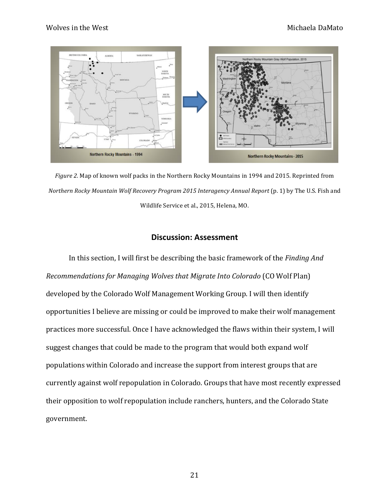

*Figure 2.* Map of known wolf packs in the Northern Rocky Mountains in 1994 and 2015. Reprinted from *Northern Rocky Mountain Wolf Recovery Program 2015 Interagency Annual Report* (p. 1) by The U.S. Fish and Wildlife Service et al., 2015, Helena, MO.

# **Discussion: Assessment**

In this section, I will first be describing the basic framework of the *Finding And Recommendations for Managing Wolves that Migrate Into Colorado* (CO Wolf Plan) developed by the Colorado Wolf Management Working Group. I will then identify opportunities I believe are missing or could be improved to make their wolf management practices more successful. Once I have acknowledged the flaws within their system, I will suggest changes that could be made to the program that would both expand wolf populations within Colorado and increase the support from interest groups that are currently against wolf repopulation in Colorado. Groups that have most recently expressed their opposition to wolf repopulation include ranchers, hunters, and the Colorado State government.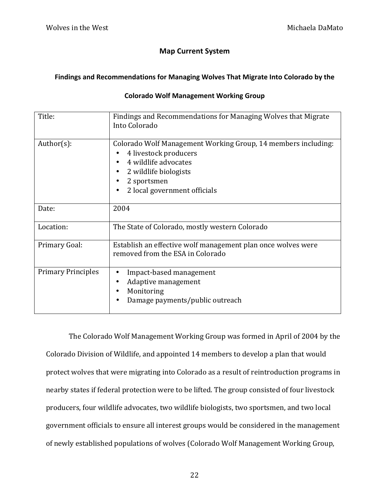# **Map Current System**

# Findings and Recommendations for Managing Wolves That Migrate Into Colorado by the

# **Colorado Wolf Management Working Group**

| Title:                    | Findings and Recommendations for Managing Wolves that Migrate<br>Into Colorado                                                                                                                           |
|---------------------------|----------------------------------------------------------------------------------------------------------------------------------------------------------------------------------------------------------|
| $Author(s)$ :             | Colorado Wolf Management Working Group, 14 members including:<br>4 livestock producers<br>4 wildlife advocates<br>٠<br>2 wildlife biologists<br>2 sportsmen<br>2 local government officials<br>$\bullet$ |
| Date:                     | 2004                                                                                                                                                                                                     |
| Location:                 | The State of Colorado, mostly western Colorado                                                                                                                                                           |
| Primary Goal:             | Establish an effective wolf management plan once wolves were<br>removed from the ESA in Colorado                                                                                                         |
| <b>Primary Principles</b> | Impact-based management<br>٠<br>Adaptive management<br>٠<br>Monitoring<br>٠<br>Damage payments/public outreach<br>$\bullet$                                                                              |

The Colorado Wolf Management Working Group was formed in April of 2004 by the Colorado Division of Wildlife, and appointed 14 members to develop a plan that would protect wolves that were migrating into Colorado as a result of reintroduction programs in nearby states if federal protection were to be lifted. The group consisted of four livestock producers, four wildlife advocates, two wildlife biologists, two sportsmen, and two local government officials to ensure all interest groups would be considered in the management of newly established populations of wolves (Colorado Wolf Management Working Group,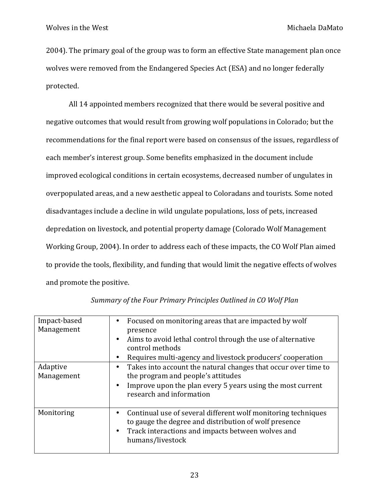2004). The primary goal of the group was to form an effective State management plan once wolves were removed from the Endangered Species Act (ESA) and no longer federally protected. 

All 14 appointed members recognized that there would be several positive and negative outcomes that would result from growing wolf populations in Colorado; but the recommendations for the final report were based on consensus of the issues, regardless of each member's interest group. Some benefits emphasized in the document include improved ecological conditions in certain ecosystems, decreased number of ungulates in overpopulated areas, and a new aesthetic appeal to Coloradans and tourists. Some noted disadvantages include a decline in wild ungulate populations, loss of pets, increased depredation on livestock, and potential property damage (Colorado Wolf Management Working Group, 2004). In order to address each of these impacts, the CO Wolf Plan aimed to provide the tools, flexibility, and funding that would limit the negative effects of wolves and promote the positive.

| Impact-based<br>Management | Focused on monitoring areas that are impacted by wolf<br>٠<br>presence                                                                                                                                            |
|----------------------------|-------------------------------------------------------------------------------------------------------------------------------------------------------------------------------------------------------------------|
|                            | Aims to avoid lethal control through the use of alternative<br>٠<br>control methods                                                                                                                               |
|                            | Requires multi-agency and livestock producers' cooperation<br>٠                                                                                                                                                   |
| Adaptive<br>Management     | Takes into account the natural changes that occur over time to<br>٠<br>the program and people's attitudes<br>Improve upon the plan every 5 years using the most current<br>$\bullet$<br>research and information  |
| Monitoring                 | Continual use of several different wolf monitoring techniques<br>٠<br>to gauge the degree and distribution of wolf presence<br>Track interactions and impacts between wolves and<br>$\bullet$<br>humans/livestock |

|  | Summary of the Four Primary Principles Outlined in CO Wolf Plan |
|--|-----------------------------------------------------------------|
|  |                                                                 |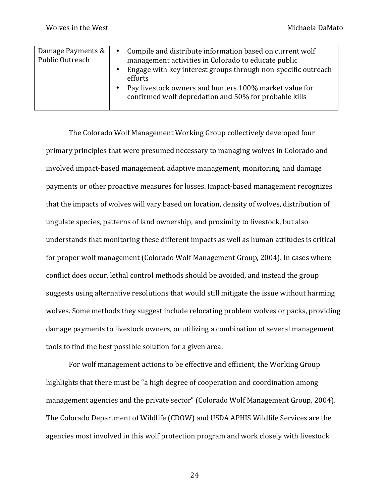| Damage Payments &<br>Public Outreach<br>$\bullet$<br>$\bullet$ | Compile and distribute information based on current wolf<br>$\bullet$<br>management activities in Colorado to educate public<br>Engage with key interest groups through non-specific outreach<br>efforts<br>Pay livestock owners and hunters 100% market value for<br>confirmed wolf depredation and 50% for probable kills |
|----------------------------------------------------------------|-----------------------------------------------------------------------------------------------------------------------------------------------------------------------------------------------------------------------------------------------------------------------------------------------------------------------------|
|----------------------------------------------------------------|-----------------------------------------------------------------------------------------------------------------------------------------------------------------------------------------------------------------------------------------------------------------------------------------------------------------------------|

The Colorado Wolf Management Working Group collectively developed four primary principles that were presumed necessary to managing wolves in Colorado and involved impact-based management, adaptive management, monitoring, and damage payments or other proactive measures for losses. Impact-based management recognizes that the impacts of wolves will vary based on location, density of wolves, distribution of ungulate species, patterns of land ownership, and proximity to livestock, but also understands that monitoring these different impacts as well as human attitudes is critical for proper wolf management (Colorado Wolf Management Group, 2004). In cases where conflict does occur, lethal control methods should be avoided, and instead the group suggests using alternative resolutions that would still mitigate the issue without harming wolves. Some methods they suggest include relocating problem wolves or packs, providing damage payments to livestock owners, or utilizing a combination of several management tools to find the best possible solution for a given area.

For wolf management actions to be effective and efficient, the Working Group highlights that there must be "a high degree of cooperation and coordination among management agencies and the private sector" (Colorado Wolf Management Group, 2004). The Colorado Department of Wildlife (CDOW) and USDA APHIS Wildlife Services are the agencies most involved in this wolf protection program and work closely with livestock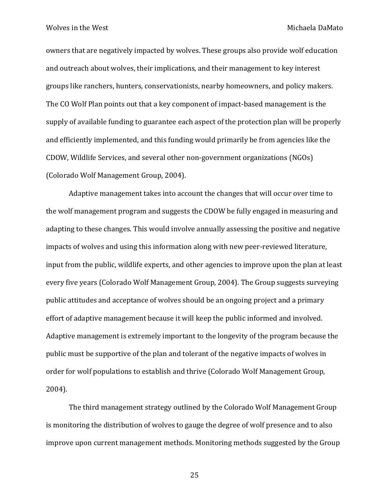owners that are negatively impacted by wolves. These groups also provide wolf education and outreach about wolves, their implications, and their management to key interest groups like ranchers, hunters, conservationists, nearby homeowners, and policy makers. The CO Wolf Plan points out that a key component of impact-based management is the supply of available funding to guarantee each aspect of the protection plan will be properly and efficiently implemented, and this funding would primarily be from agencies like the CDOW, Wildlife Services, and several other non-government organizations (NGOs) (Colorado Wolf Management Group, 2004).

Adaptive management takes into account the changes that will occur over time to the wolf management program and suggests the CDOW be fully engaged in measuring and adapting to these changes. This would involve annually assessing the positive and negative impacts of wolves and using this information along with new peer-reviewed literature, input from the public, wildlife experts, and other agencies to improve upon the plan at least every five years (Colorado Wolf Management Group, 2004). The Group suggests surveying public attitudes and acceptance of wolves should be an ongoing project and a primary effort of adaptive management because it will keep the public informed and involved. Adaptive management is extremely important to the longevity of the program because the public must be supportive of the plan and tolerant of the negative impacts of wolves in order for wolf populations to establish and thrive (Colorado Wolf Management Group, 2004). 

The third management strategy outlined by the Colorado Wolf Management Group is monitoring the distribution of wolves to gauge the degree of wolf presence and to also improve upon current management methods. Monitoring methods suggested by the Group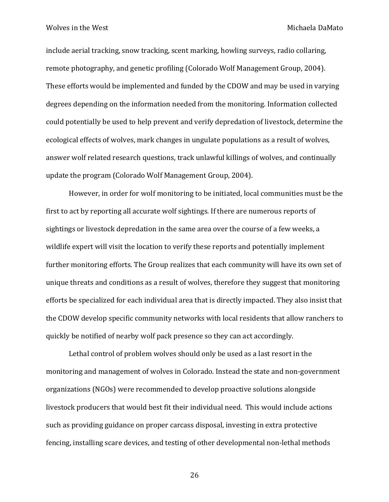include aerial tracking, snow tracking, scent marking, howling surveys, radio collaring, remote photography, and genetic profiling (Colorado Wolf Management Group, 2004). These efforts would be implemented and funded by the CDOW and may be used in varying degrees depending on the information needed from the monitoring. Information collected could potentially be used to help prevent and verify depredation of livestock, determine the ecological effects of wolves, mark changes in ungulate populations as a result of wolves, answer wolf related research questions, track unlawful killings of wolves, and continually update the program (Colorado Wolf Management Group, 2004).

However, in order for wolf monitoring to be initiated, local communities must be the first to act by reporting all accurate wolf sightings. If there are numerous reports of sightings or livestock depredation in the same area over the course of a few weeks, a wildlife expert will visit the location to verify these reports and potentially implement further monitoring efforts. The Group realizes that each community will have its own set of unique threats and conditions as a result of wolves, therefore they suggest that monitoring efforts be specialized for each individual area that is directly impacted. They also insist that the CDOW develop specific community networks with local residents that allow ranchers to quickly be notified of nearby wolf pack presence so they can act accordingly.

Lethal control of problem wolves should only be used as a last resort in the monitoring and management of wolves in Colorado. Instead the state and non-government organizations (NGOs) were recommended to develop proactive solutions alongside livestock producers that would best fit their individual need. This would include actions such as providing guidance on proper carcass disposal, investing in extra protective fencing, installing scare devices, and testing of other developmental non-lethal methods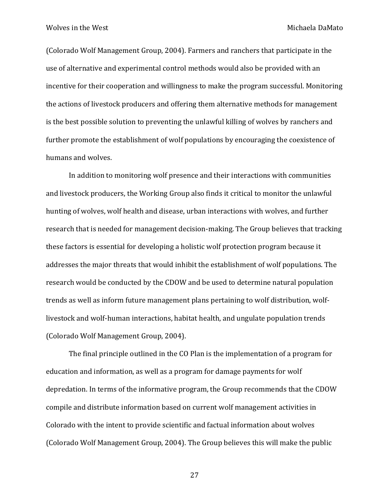(Colorado Wolf Management Group, 2004). Farmers and ranchers that participate in the use of alternative and experimental control methods would also be provided with an incentive for their cooperation and willingness to make the program successful. Monitoring the actions of livestock producers and offering them alternative methods for management is the best possible solution to preventing the unlawful killing of wolves by ranchers and further promote the establishment of wolf populations by encouraging the coexistence of humans and wolves.

In addition to monitoring wolf presence and their interactions with communities and livestock producers, the Working Group also finds it critical to monitor the unlawful hunting of wolves, wolf health and disease, urban interactions with wolves, and further research that is needed for management decision-making. The Group believes that tracking these factors is essential for developing a holistic wolf protection program because it addresses the major threats that would inhibit the establishment of wolf populations. The research would be conducted by the CDOW and be used to determine natural population trends as well as inform future management plans pertaining to wolf distribution, wolflivestock and wolf-human interactions, habitat health, and ungulate population trends (Colorado Wolf Management Group, 2004).

The final principle outlined in the CO Plan is the implementation of a program for education and information, as well as a program for damage payments for wolf depredation. In terms of the informative program, the Group recommends that the CDOW compile and distribute information based on current wolf management activities in Colorado with the intent to provide scientific and factual information about wolves (Colorado Wolf Management Group, 2004). The Group believes this will make the public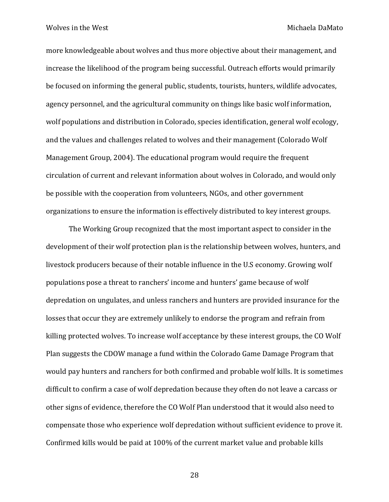more knowledgeable about wolves and thus more objective about their management, and increase the likelihood of the program being successful. Outreach efforts would primarily be focused on informing the general public, students, tourists, hunters, wildlife advocates, agency personnel, and the agricultural community on things like basic wolf information, wolf populations and distribution in Colorado, species identification, general wolf ecology, and the values and challenges related to wolves and their management (Colorado Wolf Management Group, 2004). The educational program would require the frequent circulation of current and relevant information about wolves in Colorado, and would only be possible with the cooperation from volunteers, NGOs, and other government organizations to ensure the information is effectively distributed to key interest groups.

The Working Group recognized that the most important aspect to consider in the development of their wolf protection plan is the relationship between wolves, hunters, and livestock producers because of their notable influence in the U.S economy. Growing wolf populations pose a threat to ranchers' income and hunters' game because of wolf depredation on ungulates, and unless ranchers and hunters are provided insurance for the losses that occur they are extremely unlikely to endorse the program and refrain from killing protected wolves. To increase wolf acceptance by these interest groups, the CO Wolf Plan suggests the CDOW manage a fund within the Colorado Game Damage Program that would pay hunters and ranchers for both confirmed and probable wolf kills. It is sometimes difficult to confirm a case of wolf depredation because they often do not leave a carcass or other signs of evidence, therefore the CO Wolf Plan understood that it would also need to compensate those who experience wolf depredation without sufficient evidence to prove it. Confirmed kills would be paid at 100% of the current market value and probable kills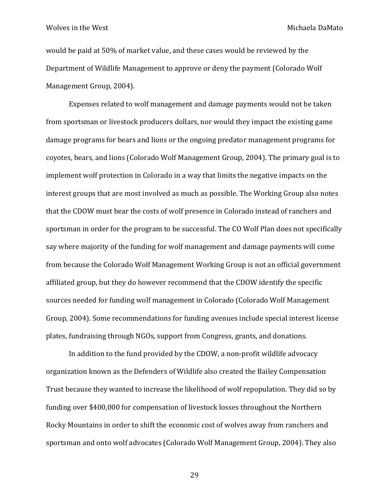would be paid at 50% of market value, and these cases would be reviewed by the Department of Wildlife Management to approve or deny the payment (Colorado Wolf Management Group, 2004).

Expenses related to wolf management and damage payments would not be taken from sportsman or livestock producers dollars, nor would they impact the existing game damage programs for bears and lions or the ongoing predator management programs for coyotes, bears, and lions (Colorado Wolf Management Group, 2004). The primary goal is to implement wolf protection in Colorado in a way that limits the negative impacts on the interest groups that are most involved as much as possible. The Working Group also notes that the CDOW must bear the costs of wolf presence in Colorado instead of ranchers and sportsman in order for the program to be successful. The CO Wolf Plan does not specifically say where majority of the funding for wolf management and damage payments will come from because the Colorado Wolf Management Working Group is not an official government affiliated group, but they do however recommend that the CDOW identify the specific sources needed for funding wolf management in Colorado (Colorado Wolf Management Group, 2004). Some recommendations for funding avenues include special interest license plates, fundraising through NGOs, support from Congress, grants, and donations.

In addition to the fund provided by the CDOW, a non-profit wildlife advocacy organization known as the Defenders of Wildlife also created the Bailey Compensation Trust because they wanted to increase the likelihood of wolf repopulation. They did so by funding over \$400,000 for compensation of livestock losses throughout the Northern Rocky Mountains in order to shift the economic cost of wolves away from ranchers and sportsman and onto wolf advocates (Colorado Wolf Management Group, 2004). They also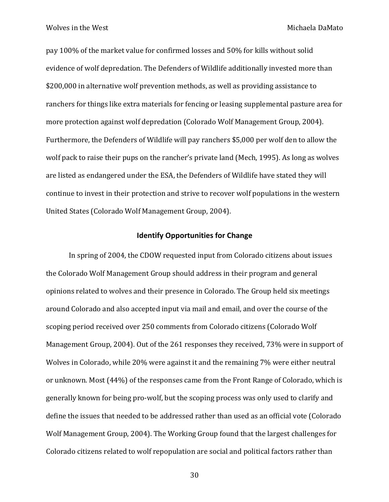pay 100% of the market value for confirmed losses and 50% for kills without solid evidence of wolf depredation. The Defenders of Wildlife additionally invested more than \$200,000 in alternative wolf prevention methods, as well as providing assistance to ranchers for things like extra materials for fencing or leasing supplemental pasture area for more protection against wolf depredation (Colorado Wolf Management Group, 2004). Furthermore, the Defenders of Wildlife will pay ranchers \$5,000 per wolf den to allow the wolf pack to raise their pups on the rancher's private land (Mech, 1995). As long as wolves are listed as endangered under the ESA, the Defenders of Wildlife have stated they will continue to invest in their protection and strive to recover wolf populations in the western United States (Colorado Wolf Management Group, 2004).

## **Identify Opportunities for Change**

In spring of 2004, the CDOW requested input from Colorado citizens about issues the Colorado Wolf Management Group should address in their program and general opinions related to wolves and their presence in Colorado. The Group held six meetings around Colorado and also accepted input via mail and email, and over the course of the scoping period received over 250 comments from Colorado citizens (Colorado Wolf Management Group, 2004). Out of the 261 responses they received, 73% were in support of Wolves in Colorado, while 20% were against it and the remaining 7% were either neutral or unknown. Most (44%) of the responses came from the Front Range of Colorado, which is generally known for being pro-wolf, but the scoping process was only used to clarify and define the issues that needed to be addressed rather than used as an official vote (Colorado Wolf Management Group, 2004). The Working Group found that the largest challenges for Colorado citizens related to wolf repopulation are social and political factors rather than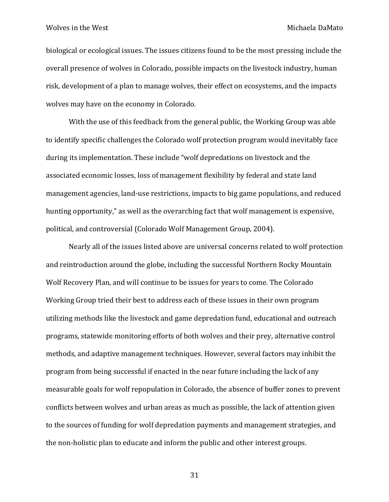biological or ecological issues. The issues citizens found to be the most pressing include the overall presence of wolves in Colorado, possible impacts on the livestock industry, human risk, development of a plan to manage wolves, their effect on ecosystems, and the impacts wolves may have on the economy in Colorado.

With the use of this feedback from the general public, the Working Group was able to identify specific challenges the Colorado wolf protection program would inevitably face during its implementation. These include "wolf depredations on livestock and the associated economic losses, loss of management flexibility by federal and state land management agencies, land-use restrictions, impacts to big game populations, and reduced hunting opportunity," as well as the overarching fact that wolf management is expensive, political, and controversial (Colorado Wolf Management Group, 2004).

Nearly all of the issues listed above are universal concerns related to wolf protection and reintroduction around the globe, including the successful Northern Rocky Mountain Wolf Recovery Plan, and will continue to be issues for years to come. The Colorado Working Group tried their best to address each of these issues in their own program utilizing methods like the livestock and game depredation fund, educational and outreach programs, statewide monitoring efforts of both wolves and their prey, alternative control methods, and adaptive management techniques. However, several factors may inhibit the program from being successful if enacted in the near future including the lack of any measurable goals for wolf repopulation in Colorado, the absence of buffer zones to prevent conflicts between wolves and urban areas as much as possible, the lack of attention given to the sources of funding for wolf depredation payments and management strategies, and the non-holistic plan to educate and inform the public and other interest groups.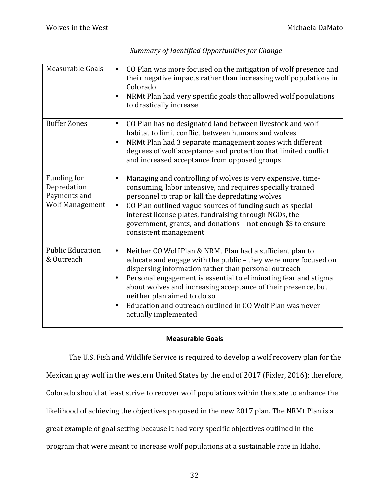| Measurable Goals                                                     | CO Plan was more focused on the mitigation of wolf presence and<br>$\bullet$<br>their negative impacts rather than increasing wolf populations in<br>Colorado<br>NRMt Plan had very specific goals that allowed wolf populations<br>to drastically increase                                                                                                                                                                                                   |
|----------------------------------------------------------------------|---------------------------------------------------------------------------------------------------------------------------------------------------------------------------------------------------------------------------------------------------------------------------------------------------------------------------------------------------------------------------------------------------------------------------------------------------------------|
| <b>Buffer Zones</b>                                                  | CO Plan has no designated land between livestock and wolf<br>$\bullet$<br>habitat to limit conflict between humans and wolves<br>NRMt Plan had 3 separate management zones with different<br>$\bullet$<br>degrees of wolf acceptance and protection that limited conflict<br>and increased acceptance from opposed groups                                                                                                                                     |
| Funding for<br>Depredation<br>Payments and<br><b>Wolf Management</b> | Managing and controlling of wolves is very expensive, time-<br>٠<br>consuming, labor intensive, and requires specially trained<br>personnel to trap or kill the depredating wolves<br>CO Plan outlined vague sources of funding such as special<br>$\bullet$<br>interest license plates, fundraising through NGOs, the<br>government, grants, and donations - not enough \$\$ to ensure<br>consistent management                                              |
| <b>Public Education</b><br>& Outreach                                | Neither CO Wolf Plan & NRMt Plan had a sufficient plan to<br>$\bullet$<br>educate and engage with the public - they were more focused on<br>dispersing information rather than personal outreach<br>Personal engagement is essential to eliminating fear and stigma<br>٠<br>about wolves and increasing acceptance of their presence, but<br>neither plan aimed to do so<br>Education and outreach outlined in CO Wolf Plan was never<br>actually implemented |

# Summary of Identified Opportunities for Change

## **Measurable Goals**

The U.S. Fish and Wildlife Service is required to develop a wolf recovery plan for the Mexican gray wolf in the western United States by the end of 2017 (Fixler, 2016); therefore, Colorado should at least strive to recover wolf populations within the state to enhance the likelihood of achieving the objectives proposed in the new 2017 plan. The NRMt Plan is a great example of goal setting because it had very specific objectives outlined in the program that were meant to increase wolf populations at a sustainable rate in Idaho,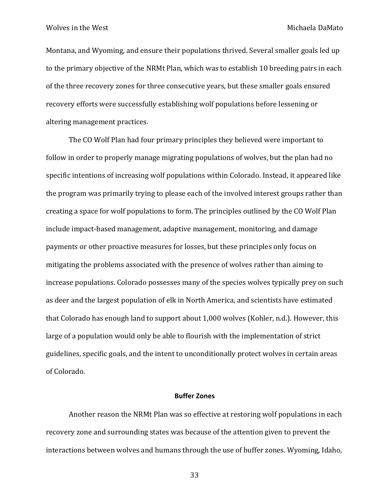Montana, and Wyoming, and ensure their populations thrived. Several smaller goals led up to the primary objective of the NRMt Plan, which was to establish 10 breeding pairs in each of the three recovery zones for three consecutive years, but these smaller goals ensured recovery efforts were successfully establishing wolf populations before lessening or altering management practices.

The CO Wolf Plan had four primary principles they believed were important to follow in order to properly manage migrating populations of wolves, but the plan had no specific intentions of increasing wolf populations within Colorado. Instead, it appeared like the program was primarily trying to please each of the involved interest groups rather than creating a space for wolf populations to form. The principles outlined by the CO Wolf Plan include impact-based management, adaptive management, monitoring, and damage payments or other proactive measures for losses, but these principles only focus on mitigating the problems associated with the presence of wolves rather than aiming to increase populations. Colorado possesses many of the species wolves typically prey on such as deer and the largest population of elk in North America, and scientists have estimated that Colorado has enough land to support about  $1,000$  wolves (Kohler, n.d.). However, this large of a population would only be able to flourish with the implementation of strict guidelines, specific goals, and the intent to unconditionally protect wolves in certain areas of Colorado.

#### **Buffer Zones**

Another reason the NRMt Plan was so effective at restoring wolf populations in each recovery zone and surrounding states was because of the attention given to prevent the interactions between wolves and humans through the use of buffer zones. Wyoming, Idaho,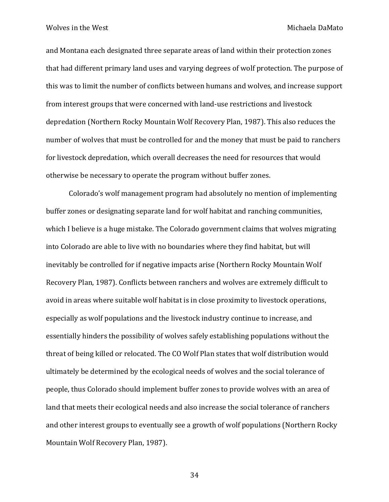and Montana each designated three separate areas of land within their protection zones that had different primary land uses and varying degrees of wolf protection. The purpose of this was to limit the number of conflicts between humans and wolves, and increase support from interest groups that were concerned with land-use restrictions and livestock depredation (Northern Rocky Mountain Wolf Recovery Plan, 1987). This also reduces the number of wolves that must be controlled for and the money that must be paid to ranchers for livestock depredation, which overall decreases the need for resources that would otherwise be necessary to operate the program without buffer zones.

Colorado's wolf management program had absolutely no mention of implementing buffer zones or designating separate land for wolf habitat and ranching communities, which I believe is a huge mistake. The Colorado government claims that wolves migrating into Colorado are able to live with no boundaries where they find habitat, but will inevitably be controlled for if negative impacts arise (Northern Rocky Mountain Wolf Recovery Plan, 1987). Conflicts between ranchers and wolves are extremely difficult to avoid in areas where suitable wolf habitat is in close proximity to livestock operations, especially as wolf populations and the livestock industry continue to increase, and essentially hinders the possibility of wolves safely establishing populations without the threat of being killed or relocated. The CO Wolf Plan states that wolf distribution would ultimately be determined by the ecological needs of wolves and the social tolerance of people, thus Colorado should implement buffer zones to provide wolves with an area of land that meets their ecological needs and also increase the social tolerance of ranchers and other interest groups to eventually see a growth of wolf populations (Northern Rocky Mountain Wolf Recovery Plan, 1987).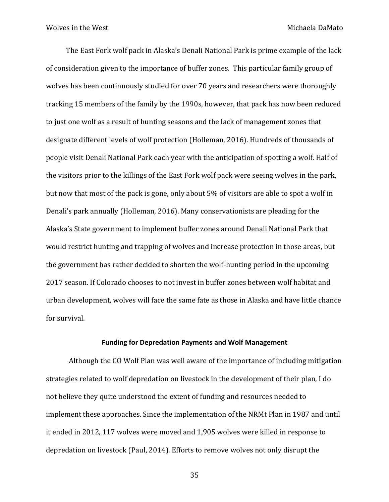The East Fork wolf pack in Alaska's Denali National Park is prime example of the lack of consideration given to the importance of buffer zones. This particular family group of wolves has been continuously studied for over 70 years and researchers were thoroughly tracking 15 members of the family by the 1990s, however, that pack has now been reduced to just one wolf as a result of hunting seasons and the lack of management zones that designate different levels of wolf protection (Holleman, 2016). Hundreds of thousands of people visit Denali National Park each year with the anticipation of spotting a wolf. Half of the visitors prior to the killings of the East Fork wolf pack were seeing wolves in the park, but now that most of the pack is gone, only about  $5\%$  of visitors are able to spot a wolf in Denali's park annually (Holleman, 2016). Many conservationists are pleading for the Alaska's State government to implement buffer zones around Denali National Park that would restrict hunting and trapping of wolves and increase protection in those areas, but the government has rather decided to shorten the wolf-hunting period in the upcoming 2017 season. If Colorado chooses to not invest in buffer zones between wolf habitat and urban development, wolves will face the same fate as those in Alaska and have little chance for survival.

### **Funding for Depredation Payments and Wolf Management**

Although the CO Wolf Plan was well aware of the importance of including mitigation strategies related to wolf depredation on livestock in the development of their plan, I do not believe they quite understood the extent of funding and resources needed to implement these approaches. Since the implementation of the NRMt Plan in 1987 and until it ended in 2012, 117 wolves were moved and 1,905 wolves were killed in response to depredation on livestock (Paul, 2014). Efforts to remove wolves not only disrupt the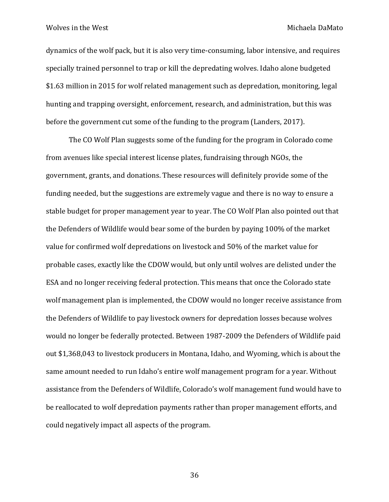dynamics of the wolf pack, but it is also very time-consuming, labor intensive, and requires specially trained personnel to trap or kill the depredating wolves. Idaho alone budgeted \$1.63 million in 2015 for wolf related management such as depredation, monitoring, legal hunting and trapping oversight, enforcement, research, and administration, but this was before the government cut some of the funding to the program (Landers, 2017).

The CO Wolf Plan suggests some of the funding for the program in Colorado come from avenues like special interest license plates, fundraising through NGOs, the government, grants, and donations. These resources will definitely provide some of the funding needed, but the suggestions are extremely vague and there is no way to ensure a stable budget for proper management year to year. The CO Wolf Plan also pointed out that the Defenders of Wildlife would bear some of the burden by paying 100% of the market value for confirmed wolf depredations on livestock and 50% of the market value for probable cases, exactly like the CDOW would, but only until wolves are delisted under the ESA and no longer receiving federal protection. This means that once the Colorado state wolf management plan is implemented, the CDOW would no longer receive assistance from the Defenders of Wildlife to pay livestock owners for depredation losses because wolves would no longer be federally protected. Between 1987-2009 the Defenders of Wildlife paid out \$1,368,043 to livestock producers in Montana, Idaho, and Wyoming, which is about the same amount needed to run Idaho's entire wolf management program for a year. Without assistance from the Defenders of Wildlife, Colorado's wolf management fund would have to be reallocated to wolf depredation payments rather than proper management efforts, and could negatively impact all aspects of the program.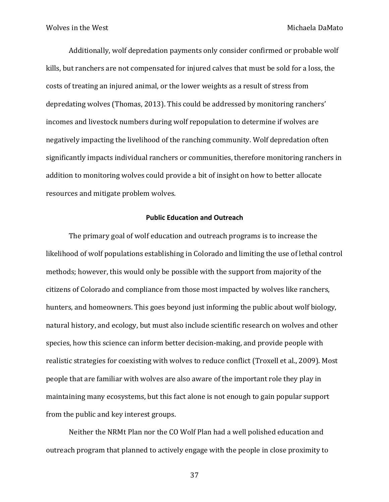Additionally, wolf depredation payments only consider confirmed or probable wolf kills, but ranchers are not compensated for injured calves that must be sold for a loss, the costs of treating an injured animal, or the lower weights as a result of stress from depredating wolves (Thomas, 2013). This could be addressed by monitoring ranchers' incomes and livestock numbers during wolf repopulation to determine if wolves are negatively impacting the livelihood of the ranching community. Wolf depredation often significantly impacts individual ranchers or communities, therefore monitoring ranchers in addition to monitoring wolves could provide a bit of insight on how to better allocate resources and mitigate problem wolves.

### **Public Education and Outreach**

The primary goal of wolf education and outreach programs is to increase the likelihood of wolf populations establishing in Colorado and limiting the use of lethal control methods; however, this would only be possible with the support from majority of the citizens of Colorado and compliance from those most impacted by wolves like ranchers, hunters, and homeowners. This goes beyond just informing the public about wolf biology, natural history, and ecology, but must also include scientific research on wolves and other species, how this science can inform better decision-making, and provide people with realistic strategies for coexisting with wolves to reduce conflict (Troxell et al., 2009). Most people that are familiar with wolves are also aware of the important role they play in maintaining many ecosystems, but this fact alone is not enough to gain popular support from the public and key interest groups.

Neither the NRMt Plan nor the CO Wolf Plan had a well polished education and outreach program that planned to actively engage with the people in close proximity to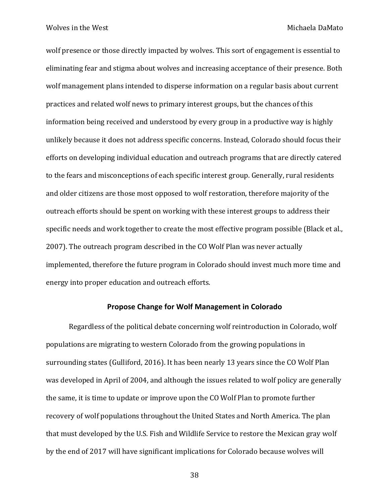wolf presence or those directly impacted by wolves. This sort of engagement is essential to eliminating fear and stigma about wolves and increasing acceptance of their presence. Both wolf management plans intended to disperse information on a regular basis about current practices and related wolf news to primary interest groups, but the chances of this information being received and understood by every group in a productive way is highly unlikely because it does not address specific concerns. Instead, Colorado should focus their efforts on developing individual education and outreach programs that are directly catered to the fears and misconceptions of each specific interest group. Generally, rural residents and older citizens are those most opposed to wolf restoration, therefore majority of the outreach efforts should be spent on working with these interest groups to address their specific needs and work together to create the most effective program possible (Black et al., 2007). The outreach program described in the CO Wolf Plan was never actually implemented, therefore the future program in Colorado should invest much more time and energy into proper education and outreach efforts.

## **Propose Change for Wolf Management in Colorado**

Regardless of the political debate concerning wolf reintroduction in Colorado, wolf populations are migrating to western Colorado from the growing populations in surrounding states (Gulliford, 2016). It has been nearly 13 years since the CO Wolf Plan was developed in April of 2004, and although the issues related to wolf policy are generally the same, it is time to update or improve upon the CO Wolf Plan to promote further recovery of wolf populations throughout the United States and North America. The plan that must developed by the U.S. Fish and Wildlife Service to restore the Mexican gray wolf by the end of 2017 will have significant implications for Colorado because wolves will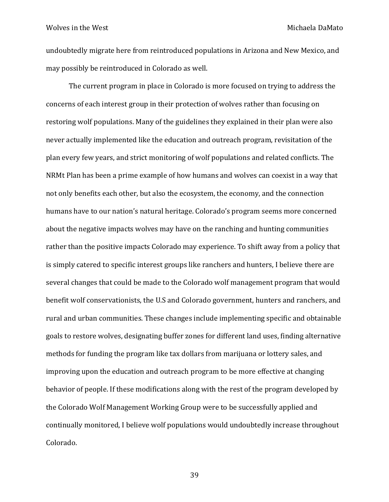undoubtedly migrate here from reintroduced populations in Arizona and New Mexico, and may possibly be reintroduced in Colorado as well.

The current program in place in Colorado is more focused on trying to address the concerns of each interest group in their protection of wolves rather than focusing on restoring wolf populations. Many of the guidelines they explained in their plan were also never actually implemented like the education and outreach program, revisitation of the plan every few years, and strict monitoring of wolf populations and related conflicts. The NRMt Plan has been a prime example of how humans and wolves can coexist in a way that not only benefits each other, but also the ecosystem, the economy, and the connection humans have to our nation's natural heritage. Colorado's program seems more concerned about the negative impacts wolves may have on the ranching and hunting communities rather than the positive impacts Colorado may experience. To shift away from a policy that is simply catered to specific interest groups like ranchers and hunters, I believe there are several changes that could be made to the Colorado wolf management program that would benefit wolf conservationists, the U.S and Colorado government, hunters and ranchers, and rural and urban communities. These changes include implementing specific and obtainable goals to restore wolves, designating buffer zones for different land uses, finding alternative methods for funding the program like tax dollars from marijuana or lottery sales, and improving upon the education and outreach program to be more effective at changing behavior of people. If these modifications along with the rest of the program developed by the Colorado Wolf Management Working Group were to be successfully applied and continually monitored, I believe wolf populations would undoubtedly increase throughout Colorado.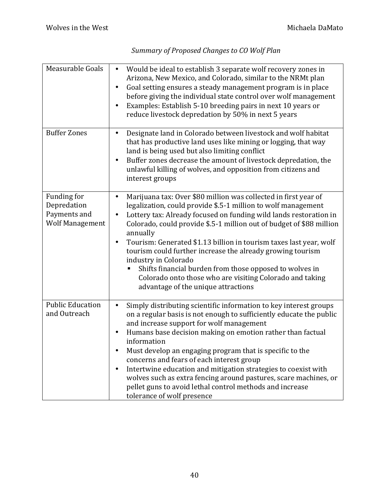| Measurable Goals                                                     | Would be ideal to establish 3 separate wolf recovery zones in<br>$\bullet$<br>Arizona, New Mexico, and Colorado, similar to the NRMt plan<br>Goal setting ensures a steady management program is in place<br>$\bullet$<br>before giving the individual state control over wolf management<br>Examples: Establish 5-10 breeding pairs in next 10 years or<br>$\bullet$<br>reduce livestock depredation by 50% in next 5 years                                                                                                                                                                                                                       |
|----------------------------------------------------------------------|----------------------------------------------------------------------------------------------------------------------------------------------------------------------------------------------------------------------------------------------------------------------------------------------------------------------------------------------------------------------------------------------------------------------------------------------------------------------------------------------------------------------------------------------------------------------------------------------------------------------------------------------------|
| <b>Buffer Zones</b>                                                  | Designate land in Colorado between livestock and wolf habitat<br>$\bullet$<br>that has productive land uses like mining or logging, that way<br>land is being used but also limiting conflict<br>Buffer zones decrease the amount of livestock depredation, the<br>$\bullet$<br>unlawful killing of wolves, and opposition from citizens and<br>interest groups                                                                                                                                                                                                                                                                                    |
| Funding for<br>Depredation<br>Payments and<br><b>Wolf Management</b> | Marijuana tax: Over \$80 million was collected in first year of<br>$\bullet$<br>legalization, could provide \$.5-1 million to wolf management<br>Lottery tax: Already focused on funding wild lands restoration in<br>٠<br>Colorado, could provide \$.5-1 million out of budget of \$88 million<br>annually<br>Tourism: Generated \$1.13 billion in tourism taxes last year, wolf<br>$\bullet$<br>tourism could further increase the already growing tourism<br>industry in Colorado<br>Shifts financial burden from those opposed to wolves in<br>Colorado onto those who are visiting Colorado and taking<br>advantage of the unique attractions |
| <b>Public Education</b><br>and Outreach                              | Simply distributing scientific information to key interest groups<br>$\bullet$<br>on a regular basis is not enough to sufficiently educate the public<br>and increase support for wolf management<br>Humans base decision making on emotion rather than factual<br>٠<br>information<br>Must develop an engaging program that is specific to the<br>concerns and fears of each interest group<br>Intertwine education and mitigation strategies to coexist with<br>٠<br>wolves such as extra fencing around pastures, scare machines, or<br>pellet guns to avoid lethal control methods and increase<br>tolerance of wolf presence                  |

# *Summary of Proposed Changes to CO Wolf Plan*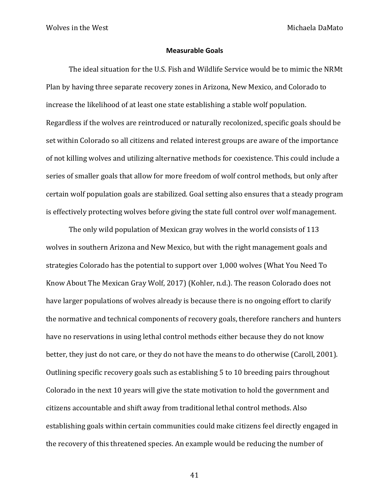#### **Measurable Goals**

The ideal situation for the U.S. Fish and Wildlife Service would be to mimic the NRMt Plan by having three separate recovery zones in Arizona, New Mexico, and Colorado to increase the likelihood of at least one state establishing a stable wolf population. Regardless if the wolves are reintroduced or naturally recolonized, specific goals should be set within Colorado so all citizens and related interest groups are aware of the importance of not killing wolves and utilizing alternative methods for coexistence. This could include a series of smaller goals that allow for more freedom of wolf control methods, but only after certain wolf population goals are stabilized. Goal setting also ensures that a steady program is effectively protecting wolves before giving the state full control over wolf management.

The only wild population of Mexican gray wolves in the world consists of 113 wolves in southern Arizona and New Mexico, but with the right management goals and strategies Colorado has the potential to support over 1,000 wolves (What You Need To Know About The Mexican Gray Wolf, 2017) (Kohler, n.d.). The reason Colorado does not have larger populations of wolves already is because there is no ongoing effort to clarify the normative and technical components of recovery goals, therefore ranchers and hunters have no reservations in using lethal control methods either because they do not know better, they just do not care, or they do not have the means to do otherwise (Caroll, 2001). Outlining specific recovery goals such as establishing 5 to 10 breeding pairs throughout Colorado in the next 10 years will give the state motivation to hold the government and citizens accountable and shift away from traditional lethal control methods. Also establishing goals within certain communities could make citizens feel directly engaged in the recovery of this threatened species. An example would be reducing the number of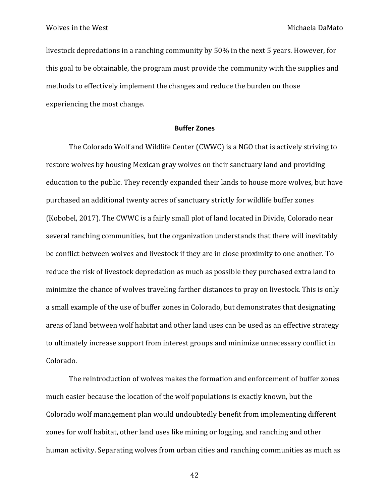livestock depredations in a ranching community by 50% in the next 5 years. However, for this goal to be obtainable, the program must provide the community with the supplies and methods to effectively implement the changes and reduce the burden on those experiencing the most change.

#### **Buffer Zones**

The Colorado Wolf and Wildlife Center (CWWC) is a NGO that is actively striving to restore wolves by housing Mexican gray wolves on their sanctuary land and providing education to the public. They recently expanded their lands to house more wolves, but have purchased an additional twenty acres of sanctuary strictly for wildlife buffer zones (Kobobel, 2017). The CWWC is a fairly small plot of land located in Divide, Colorado near several ranching communities, but the organization understands that there will inevitably be conflict between wolves and livestock if they are in close proximity to one another. To reduce the risk of livestock depredation as much as possible they purchased extra land to minimize the chance of wolves traveling farther distances to pray on livestock. This is only a small example of the use of buffer zones in Colorado, but demonstrates that designating areas of land between wolf habitat and other land uses can be used as an effective strategy to ultimately increase support from interest groups and minimize unnecessary conflict in Colorado. 

The reintroduction of wolves makes the formation and enforcement of buffer zones much easier because the location of the wolf populations is exactly known, but the Colorado wolf management plan would undoubtedly benefit from implementing different zones for wolf habitat, other land uses like mining or logging, and ranching and other human activity. Separating wolves from urban cities and ranching communities as much as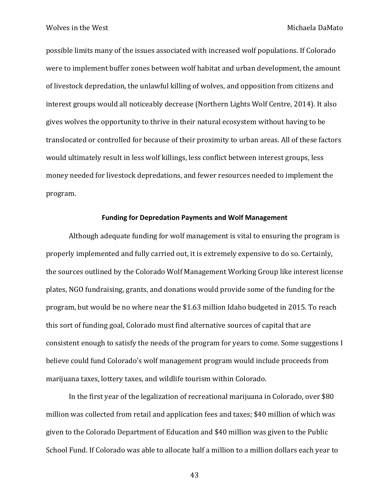possible limits many of the issues associated with increased wolf populations. If Colorado were to implement buffer zones between wolf habitat and urban development, the amount of livestock depredation, the unlawful killing of wolves, and opposition from citizens and interest groups would all noticeably decrease (Northern Lights Wolf Centre, 2014). It also gives wolves the opportunity to thrive in their natural ecosystem without having to be translocated or controlled for because of their proximity to urban areas. All of these factors would ultimately result in less wolf killings, less conflict between interest groups, less money needed for livestock depredations, and fewer resources needed to implement the program.

#### **Funding for Depredation Payments and Wolf Management**

Although adequate funding for wolf management is vital to ensuring the program is properly implemented and fully carried out, it is extremely expensive to do so. Certainly, the sources outlined by the Colorado Wolf Management Working Group like interest license plates, NGO fundraising, grants, and donations would provide some of the funding for the program, but would be no where near the \$1.63 million Idaho budgeted in 2015. To reach this sort of funding goal, Colorado must find alternative sources of capital that are consistent enough to satisfy the needs of the program for years to come. Some suggestions I believe could fund Colorado's wolf management program would include proceeds from marijuana taxes, lottery taxes, and wildlife tourism within Colorado.

In the first year of the legalization of recreational marijuana in Colorado, over \$80 million was collected from retail and application fees and taxes; \$40 million of which was given to the Colorado Department of Education and \$40 million was given to the Public School Fund. If Colorado was able to allocate half a million to a million dollars each year to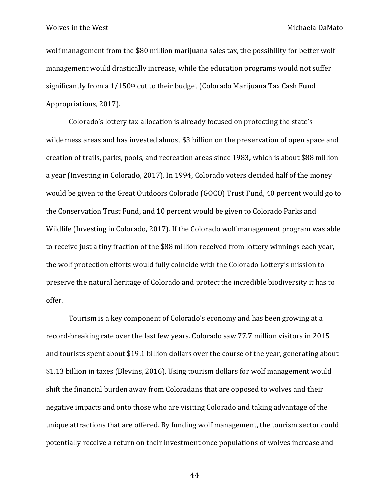wolf management from the \$80 million marijuana sales tax, the possibility for better wolf management would drastically increase, while the education programs would not suffer significantly from a  $1/150$ <sup>th</sup> cut to their budget (Colorado Marijuana Tax Cash Fund Appropriations, 2017).

Colorado's lottery tax allocation is already focused on protecting the state's wilderness areas and has invested almost \$3 billion on the preservation of open space and creation of trails, parks, pools, and recreation areas since 1983, which is about \$88 million a year (Investing in Colorado, 2017). In 1994, Colorado voters decided half of the money would be given to the Great Outdoors Colorado (GOCO) Trust Fund, 40 percent would go to the Conservation Trust Fund, and 10 percent would be given to Colorado Parks and Wildlife (Investing in Colorado, 2017). If the Colorado wolf management program was able to receive just a tiny fraction of the \$88 million received from lottery winnings each year, the wolf protection efforts would fully coincide with the Colorado Lottery's mission to preserve the natural heritage of Colorado and protect the incredible biodiversity it has to offer. 

Tourism is a key component of Colorado's economy and has been growing at a record-breaking rate over the last few years. Colorado saw 77.7 million visitors in 2015 and tourists spent about \$19.1 billion dollars over the course of the year, generating about \$1.13 billion in taxes (Blevins, 2016). Using tourism dollars for wolf management would shift the financial burden away from Coloradans that are opposed to wolves and their negative impacts and onto those who are visiting Colorado and taking advantage of the unique attractions that are offered. By funding wolf management, the tourism sector could potentially receive a return on their investment once populations of wolves increase and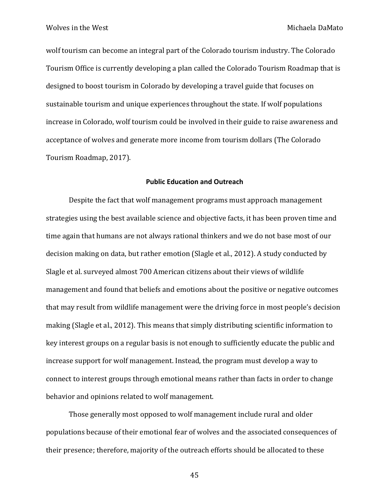wolf tourism can become an integral part of the Colorado tourism industry. The Colorado Tourism Office is currently developing a plan called the Colorado Tourism Roadmap that is designed to boost tourism in Colorado by developing a travel guide that focuses on sustainable tourism and unique experiences throughout the state. If wolf populations increase in Colorado, wolf tourism could be involved in their guide to raise awareness and acceptance of wolves and generate more income from tourism dollars (The Colorado Tourism Roadmap, 2017).

#### **Public Education and Outreach**

Despite the fact that wolf management programs must approach management strategies using the best available science and objective facts, it has been proven time and time again that humans are not always rational thinkers and we do not base most of our decision making on data, but rather emotion (Slagle et al., 2012). A study conducted by Slagle et al. surveyed almost 700 American citizens about their views of wildlife management and found that beliefs and emotions about the positive or negative outcomes that may result from wildlife management were the driving force in most people's decision making (Slagle et al., 2012). This means that simply distributing scientific information to key interest groups on a regular basis is not enough to sufficiently educate the public and increase support for wolf management. Instead, the program must develop a way to connect to interest groups through emotional means rather than facts in order to change behavior and opinions related to wolf management.

Those generally most opposed to wolf management include rural and older populations because of their emotional fear of wolves and the associated consequences of their presence; therefore, majority of the outreach efforts should be allocated to these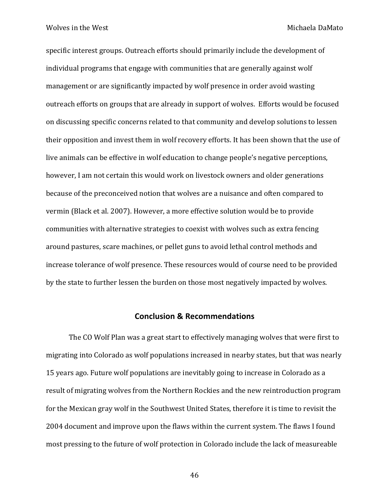specific interest groups. Outreach efforts should primarily include the development of individual programs that engage with communities that are generally against wolf management or are significantly impacted by wolf presence in order avoid wasting outreach efforts on groups that are already in support of wolves. Efforts would be focused on discussing specific concerns related to that community and develop solutions to lessen their opposition and invest them in wolf recovery efforts. It has been shown that the use of live animals can be effective in wolf education to change people's negative perceptions, however, I am not certain this would work on livestock owners and older generations because of the preconceived notion that wolves are a nuisance and often compared to vermin (Black et al. 2007). However, a more effective solution would be to provide communities with alternative strategies to coexist with wolves such as extra fencing around pastures, scare machines, or pellet guns to avoid lethal control methods and increase tolerance of wolf presence. These resources would of course need to be provided by the state to further lessen the burden on those most negatively impacted by wolves.

# **Conclusion & Recommendations**

The CO Wolf Plan was a great start to effectively managing wolves that were first to migrating into Colorado as wolf populations increased in nearby states, but that was nearly 15 years ago. Future wolf populations are inevitably going to increase in Colorado as a result of migrating wolves from the Northern Rockies and the new reintroduction program for the Mexican gray wolf in the Southwest United States, therefore it is time to revisit the 2004 document and improve upon the flaws within the current system. The flaws I found most pressing to the future of wolf protection in Colorado include the lack of measureable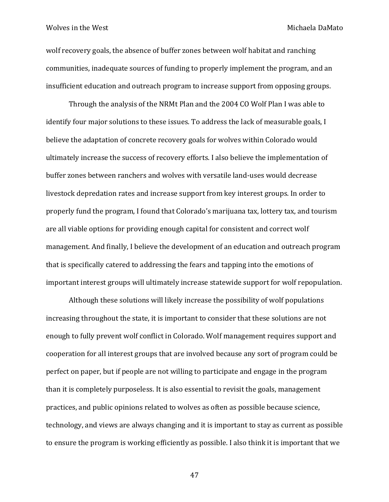wolf recovery goals, the absence of buffer zones between wolf habitat and ranching communities, inadequate sources of funding to properly implement the program, and an insufficient education and outreach program to increase support from opposing groups.

Through the analysis of the NRMt Plan and the 2004 CO Wolf Plan I was able to identify four major solutions to these issues. To address the lack of measurable goals, I believe the adaptation of concrete recovery goals for wolves within Colorado would ultimately increase the success of recovery efforts. I also believe the implementation of buffer zones between ranchers and wolves with versatile land-uses would decrease livestock depredation rates and increase support from key interest groups. In order to properly fund the program, I found that Colorado's marijuana tax, lottery tax, and tourism are all viable options for providing enough capital for consistent and correct wolf management. And finally, I believe the development of an education and outreach program that is specifically catered to addressing the fears and tapping into the emotions of important interest groups will ultimately increase statewide support for wolf repopulation.

Although these solutions will likely increase the possibility of wolf populations increasing throughout the state, it is important to consider that these solutions are not enough to fully prevent wolf conflict in Colorado. Wolf management requires support and cooperation for all interest groups that are involved because any sort of program could be perfect on paper, but if people are not willing to participate and engage in the program than it is completely purposeless. It is also essential to revisit the goals, management practices, and public opinions related to wolves as often as possible because science, technology, and views are always changing and it is important to stay as current as possible to ensure the program is working efficiently as possible. I also think it is important that we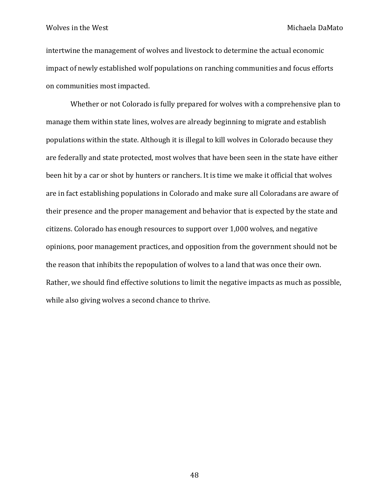intertwine the management of wolves and livestock to determine the actual economic impact of newly established wolf populations on ranching communities and focus efforts on communities most impacted.

Whether or not Colorado is fully prepared for wolves with a comprehensive plan to manage them within state lines, wolves are already beginning to migrate and establish populations within the state. Although it is illegal to kill wolves in Colorado because they are federally and state protected, most wolves that have been seen in the state have either been hit by a car or shot by hunters or ranchers. It is time we make it official that wolves are in fact establishing populations in Colorado and make sure all Coloradans are aware of their presence and the proper management and behavior that is expected by the state and citizens. Colorado has enough resources to support over 1,000 wolves, and negative opinions, poor management practices, and opposition from the government should not be the reason that inhibits the repopulation of wolves to a land that was once their own. Rather, we should find effective solutions to limit the negative impacts as much as possible, while also giving wolves a second chance to thrive.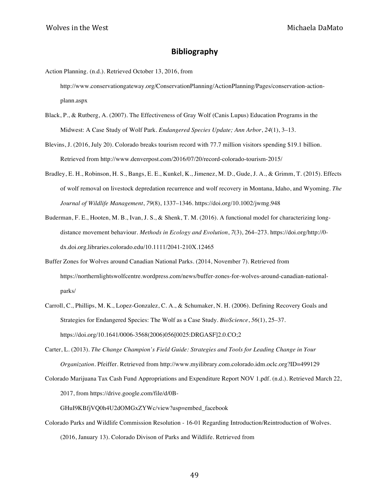## **Bibliography**

- Action Planning. (n.d.). Retrieved October 13, 2016, from http://www.conservationgateway.org/ConservationPlanning/ActionPlanning/Pages/conservation-actionplann.aspx
- Black, P., & Rutberg, A. (2007). The Effectiveness of Gray Wolf (Canis Lupus) Education Programs in the Midwest: A Case Study of Wolf Park. *Endangered Species Update; Ann Arbor*, *24*(1), 3–13.
- Blevins, J. (2016, July 20). Colorado breaks tourism record with 77.7 million visitors spending \$19.1 billion. Retrieved from http://www.denverpost.com/2016/07/20/record-colorado-tourism-2015/
- Bradley, E. H., Robinson, H. S., Bangs, E. E., Kunkel, K., Jimenez, M. D., Gude, J. A., & Grimm, T. (2015). Effects of wolf removal on livestock depredation recurrence and wolf recovery in Montana, Idaho, and Wyoming. *The Journal of Wildlife Management*, *79*(8), 1337–1346. https://doi.org/10.1002/jwmg.948
- Buderman, F. E., Hooten, M. B., Ivan, J. S., & Shenk, T. M. (2016). A functional model for characterizing longdistance movement behaviour. *Methods in Ecology and Evolution*, *7*(3), 264–273. https://doi.org/http://0 dx.doi.org.libraries.colorado.edu/10.1111/2041-210X.12465
- Buffer Zones for Wolves around Canadian National Parks. (2014, November 7). Retrieved from https://northernlightswolfcentre.wordpress.com/news/buffer-zones-for-wolves-around-canadian-nationalparks/
- Carroll, C., Phillips, M. K., Lopez-Gonzalez, C. A., & Schumaker, N. H. (2006). Defining Recovery Goals and Strategies for Endangered Species: The Wolf as a Case Study. *BioScience*, *56*(1), 25–37. https://doi.org/10.1641/0006-3568(2006)056[0025:DRGASF]2.0.CO;2
- Carter, L. (2013). *The Change Champion's Field Guide: Strategies and Tools for Leading Change in Your Organization*. Pfeiffer. Retrieved from http://www.myilibrary.com.colorado.idm.oclc.org?ID=499129
- Colorado Marijuana Tax Cash Fund Appropriations and Expenditure Report NOV 1.pdf. (n.d.). Retrieved March 22, 2017, from https://drive.google.com/file/d/0B-

GHuI9KBfjVQ0h4U2dOMGxZYWc/view?usp=embed\_facebook

Colorado Parks and Wildlife Commission Resolution - 16-01 Regarding Introduction/Reintroduction of Wolves. (2016, January 13). Colorado Divison of Parks and Wildlife. Retrieved from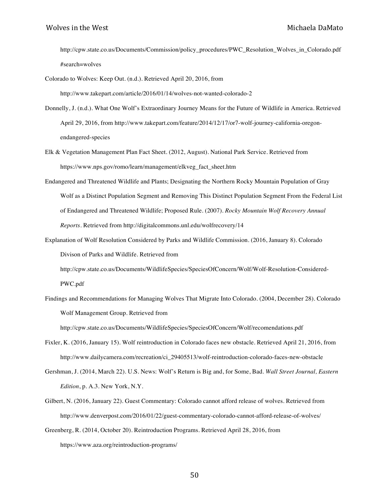http://cpw.state.co.us/Documents/Commission/policy\_procedures/PWC\_Resolution\_Wolves\_in\_Colorado.pdf #search=wolves

Colorado to Wolves: Keep Out. (n.d.). Retrieved April 20, 2016, from

http://www.takepart.com/article/2016/01/14/wolves-not-wanted-colorado-2

- Donnelly, J. (n.d.). What One Wolf's Extraordinary Journey Means for the Future of Wildlife in America. Retrieved April 29, 2016, from http://www.takepart.com/feature/2014/12/17/or7-wolf-journey-california-oregonendangered-species
- Elk & Vegetation Management Plan Fact Sheet. (2012, August). National Park Service. Retrieved from https://www.nps.gov/romo/learn/management/elkveg\_fact\_sheet.htm
- Endangered and Threatened Wildlife and Plants; Designating the Northern Rocky Mountain Population of Gray Wolf as a Distinct Population Segment and Removing This Distinct Population Segment From the Federal List of Endangered and Threatened Wildlife; Proposed Rule. (2007). *Rocky Mountain Wolf Recovery Annual Reports*. Retrieved from http://digitalcommons.unl.edu/wolfrecovery/14
- Explanation of Wolf Resolution Considered by Parks and Wildlife Commission. (2016, January 8). Colorado Divison of Parks and Wildlife. Retrieved from

http://cpw.state.co.us/Documents/WildlifeSpecies/SpeciesOfConcern/Wolf/Wolf-Resolution-Considered-PWC.pdf

Findings and Recommendations for Managing Wolves That Migrate Into Colorado. (2004, December 28). Colorado Wolf Management Group. Retrieved from

http://cpw.state.co.us/Documents/WildlifeSpecies/SpeciesOfConcern/Wolf/recomendations.pdf

- Fixler, K. (2016, January 15). Wolf reintroduction in Colorado faces new obstacle. Retrieved April 21, 2016, from http://www.dailycamera.com/recreation/ci\_29405513/wolf-reintroduction-colorado-faces-new-obstacle
- Gershman, J. (2014, March 22). U.S. News: Wolf's Return is Big and, for Some, Bad. *Wall Street Journal, Eastern Edition*, p. A.3. New York, N.Y.
- Gilbert, N. (2016, January 22). Guest Commentary: Colorado cannot afford release of wolves. Retrieved from http://www.denverpost.com/2016/01/22/guest-commentary-colorado-cannot-afford-release-of-wolves/
- Greenberg, R. (2014, October 20). Reintroduction Programs. Retrieved April 28, 2016, from https://www.aza.org/reintroduction-programs/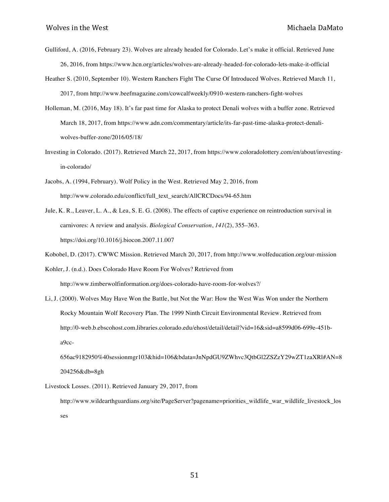- Gulliford, A. (2016, February 23). Wolves are already headed for Colorado. Let's make it official. Retrieved June 26, 2016, from https://www.hcn.org/articles/wolves-are-already-headed-for-colorado-lets-make-it-official
- Heather S. (2010, September 10). Western Ranchers Fight The Curse Of Introduced Wolves. Retrieved March 11, 2017, from http://www.beefmagazine.com/cowcalfweekly/0910-western-ranchers-fight-wolves
- Holleman, M. (2016, May 18). It's far past time for Alaska to protect Denali wolves with a buffer zone. Retrieved March 18, 2017, from https://www.adn.com/commentary/article/its-far-past-time-alaska-protect-denaliwolves-buffer-zone/2016/05/18/
- Investing in Colorado. (2017). Retrieved March 22, 2017, from https://www.coloradolottery.com/en/about/investingin-colorado/
- Jacobs, A. (1994, February). Wolf Policy in the West. Retrieved May 2, 2016, from http://www.colorado.edu/conflict/full\_text\_search/AllCRCDocs/94-65.htm
- Jule, K. R., Leaver, L. A., & Lea, S. E. G. (2008). The effects of captive experience on reintroduction survival in carnivores: A review and analysis. *Biological Conservation*, *141*(2), 355–363. https://doi.org/10.1016/j.biocon.2007.11.007
- Kobobel, D. (2017). CWWC Mission. Retrieved March 20, 2017, from http://www.wolfeducation.org/our-mission

Kohler, J. (n.d.). Does Colorado Have Room For Wolves? Retrieved from http://www.timberwolfinformation.org/does-colorado-have-room-for-wolves?/

Li, J. (2000). Wolves May Have Won the Battle, but Not the War: How the West Was Won under the Northern Rocky Mountain Wolf Recovery Plan. The 1999 Ninth Circuit Environmental Review. Retrieved from http://0-web.b.ebscohost.com.libraries.colorado.edu/ehost/detail/detail?vid=16&sid=a8599d06-699e-451ba9cc-

656ac9182950%40sessionmgr103&hid=106&bdata=JnNpdGU9ZWhvc3QtbGl2ZSZzY29wZT1zaXRl#AN=8 204256&db=8gh

Livestock Losses. (2011). Retrieved January 29, 2017, from

http://www.wildearthguardians.org/site/PageServer?pagename=priorities\_wildlife\_war\_wildlife\_livestock\_los ses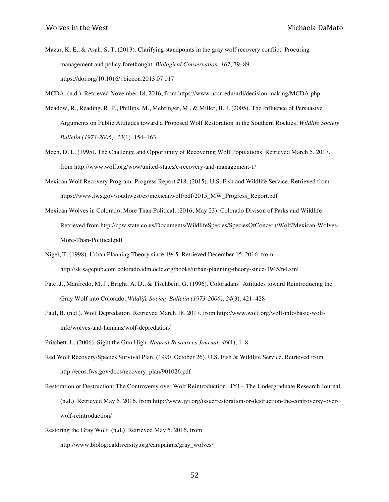- Mazur, K. E., & Asah, S. T. (2013). Clarifying standpoints in the gray wolf recovery conflict: Procuring management and policy forethought. *Biological Conservation*, *167*, 79–89. https://doi.org/10.1016/j.biocon.2013.07.017
- MCDA. (n.d.). Retrieved November 18, 2016, from https://www.ncsu.edu/nrli/decision-making/MCDA.php
- Meadow, R., Reading, R. P., Phillips, M., Mehringer, M., & Miller, B. J. (2005). The Influence of Persuasive Arguments on Public Attitudes toward a Proposed Wolf Restoration in the Southern Rockies. *Wildlife Society Bulletin (1973-2006)*, *33*(1), 154–163.
- Mech, D. L. (1995). The Challenge and Opportunity of Recovering Wolf Populations. Retrieved March 5, 2017, from http://www.wolf.org/wow/united-states/e-recovery-and-management-1/
- Mexican Wolf Recovery Program: Progress Report #18. (2015). U.S. Fish and Wildlife Service. Retrieved from https://www.fws.gov/southwest/es/mexicanwolf/pdf/2015\_MW\_Progress\_Report.pdf
- Mexican Wolves in Colorado, More Than Political. (2016, May 23). Colorado Divison of Parks and Wildlife. Retrieved from http://cpw.state.co.us/Documents/WildlifeSpecies/SpeciesOfConcern/Wolf/Mexican-Wolves-More-Than-Political.pdf
- Nigel, T. (1998). Urban Planning Theory since 1945. Retrieved December 15, 2016, from http://sk.sagepub.com.colorado.idm.oclc.org/books/urban-planning-theory-since-1945/n4.xml
- Pate, J., Manfredo, M. J., Bright, A. D., & Tischbein, G. (1996). Coloradans' Attitudes toward Reintroducing the Gray Wolf into Colorado. *Wildlife Society Bulletin (1973-2006)*, *24*(3), 421–428.
- Paul, B. (n.d.). Wolf Depredation. Retrieved March 18, 2017, from http://www.wolf.org/wolf-info/basic-wolfinfo/wolves-and-humans/wolf-depredation/

Pritchett, L. (2006). Sight the Gun High. *Natural Resources Journal*, *46*(1), 1–8.

- Red Wolf Recovery/Species Survival Plan. (1990, October 26). U.S. Fish & Wildlife Service. Retrieved from http://ecos.fws.gov/docs/recovery\_plan/901026.pdf
- Restoration or Destruction: The Controversy over Wolf Reintroduction | JYI The Undergraduate Research Journal. (n.d.). Retrieved May 5, 2016, from http://www.jyi.org/issue/restoration-or-destruction-the-controversy-overwolf-reintroduction/
- Restoring the Gray Wolf. (n.d.). Retrieved May 5, 2016, from

http://www.biologicaldiversity.org/campaigns/gray\_wolves/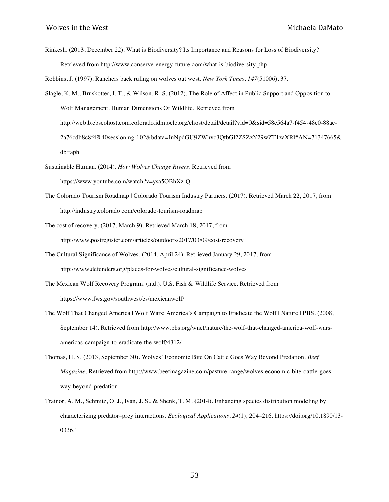Rinkesh. (2013, December 22). What is Biodiversity? Its Importance and Reasons for Loss of Biodiversity? Retrieved from http://www.conserve-energy-future.com/what-is-biodiversity.php

Robbins, J. (1997). Ranchers back ruling on wolves out west. *New York Times*, *147*(51006), 37.

- Slagle, K. M., Bruskotter, J. T., & Wilson, R. S. (2012). The Role of Affect in Public Support and Opposition to Wolf Management. Human Dimensions Of Wildlife. Retrieved from http://web.b.ebscohost.com.colorado.idm.oclc.org/ehost/detail/detail?vid=0&sid=58c564a7-f454-48c0-88ae-2a76cdb8c8f4%40sessionmgr102&bdata=JnNpdGU9ZWhvc3QtbGl2ZSZzY29wZT1zaXRl#AN=71347665& db=aph
- Sustainable Human. (2014). *How Wolves Change Rivers*. Retrieved from https://www.youtube.com/watch?v=ysa5OBhXz-Q
- The Colorado Tourism Roadmap | Colorado Tourism Industry Partners. (2017). Retrieved March 22, 2017, from http://industry.colorado.com/colorado-tourism-roadmap
- The cost of recovery. (2017, March 9). Retrieved March 18, 2017, from http://www.postregister.com/articles/outdoors/2017/03/09/cost-recovery
- The Cultural Significance of Wolves. (2014, April 24). Retrieved January 29, 2017, from http://www.defenders.org/places-for-wolves/cultural-significance-wolves
- The Mexican Wolf Recovery Program. (n.d.). U.S. Fish & Wildlife Service. Retrieved from https://www.fws.gov/southwest/es/mexicanwolf/
- The Wolf That Changed America | Wolf Wars: America's Campaign to Eradicate the Wolf | Nature | PBS. (2008, September 14). Retrieved from http://www.pbs.org/wnet/nature/the-wolf-that-changed-america-wolf-warsamericas-campaign-to-eradicate-the-wolf/4312/
- Thomas, H. S. (2013, September 30). Wolves' Economic Bite On Cattle Goes Way Beyond Predation. *Beef Magazine*. Retrieved from http://www.beefmagazine.com/pasture-range/wolves-economic-bite-cattle-goesway-beyond-predation
- Trainor, A. M., Schmitz, O. J., Ivan, J. S., & Shenk, T. M. (2014). Enhancing species distribution modeling by characterizing predator–prey interactions. *Ecological Applications*, *24*(1), 204–216. https://doi.org/10.1890/13- 0336.1